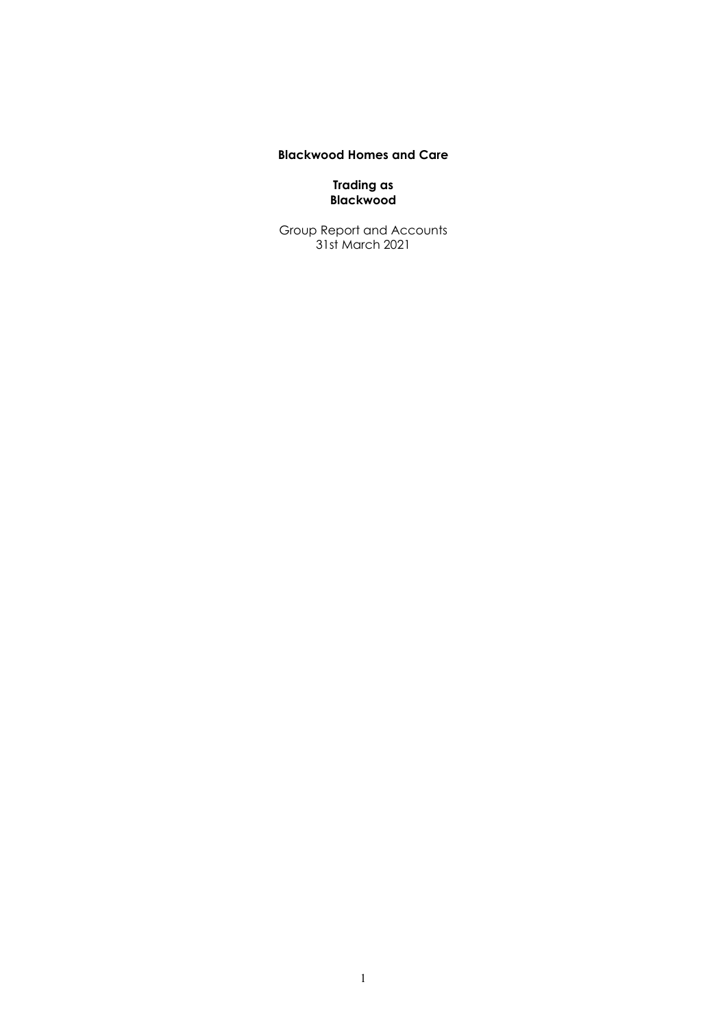# **Blackwood Homes and Care**

**Trading as Blackwood**

Group Report and Accounts 31st March 2021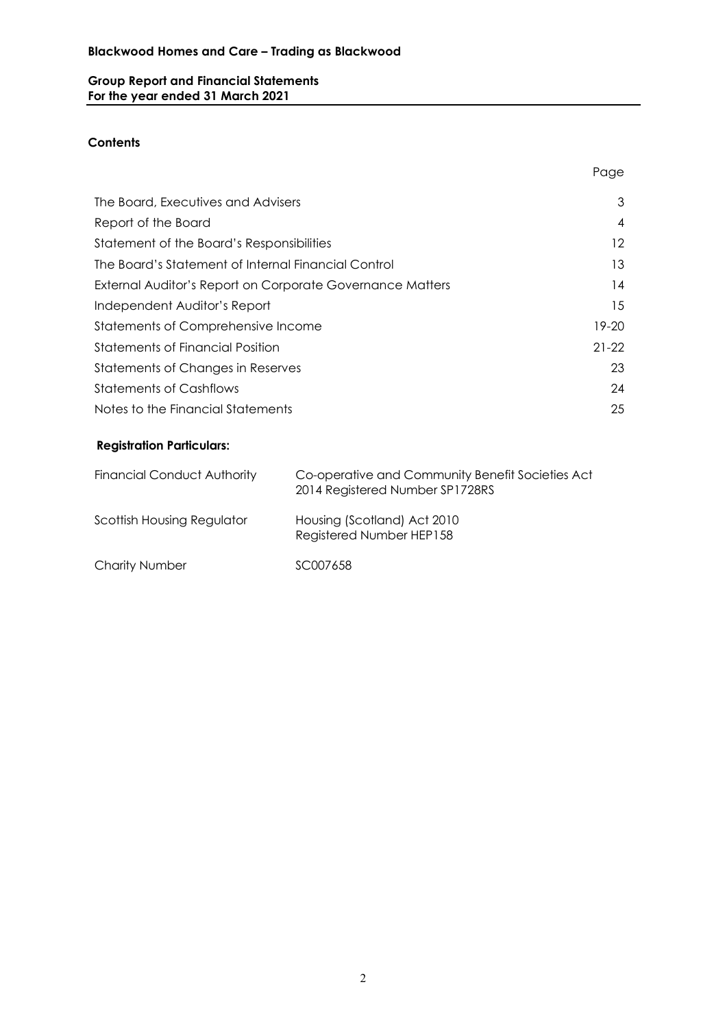# **Group Report and Financial Statements For the year ended 31 March 2021**

# **Contents**

| The Board, Executives and Advisers                        | 3               |
|-----------------------------------------------------------|-----------------|
| Report of the Board                                       | $\overline{4}$  |
| Statement of the Board's Responsibilities                 | 12 <sup>2</sup> |
| The Board's Statement of Internal Financial Control       | 13              |
| External Auditor's Report on Corporate Governance Matters | 14              |
| Independent Auditor's Report                              | 15              |
| Statements of Comprehensive Income                        | 19-20           |
| Statements of Financial Position                          | $21-22$         |
| Statements of Changes in Reserves                         | 23              |
| <b>Statements of Cashflows</b>                            | 24              |
| Notes to the Financial Statements                         | 25              |

Page

# **Registration Particulars:**

| <b>Financial Conduct Authority</b> | Co-operative and Community Benefit Societies Act<br>2014 Registered Number SP1728RS |
|------------------------------------|-------------------------------------------------------------------------------------|
| Scottish Housing Regulator         | Housing (Scotland) Act 2010<br>Registered Number HEP158                             |
| <b>Charity Number</b>              | SC007658                                                                            |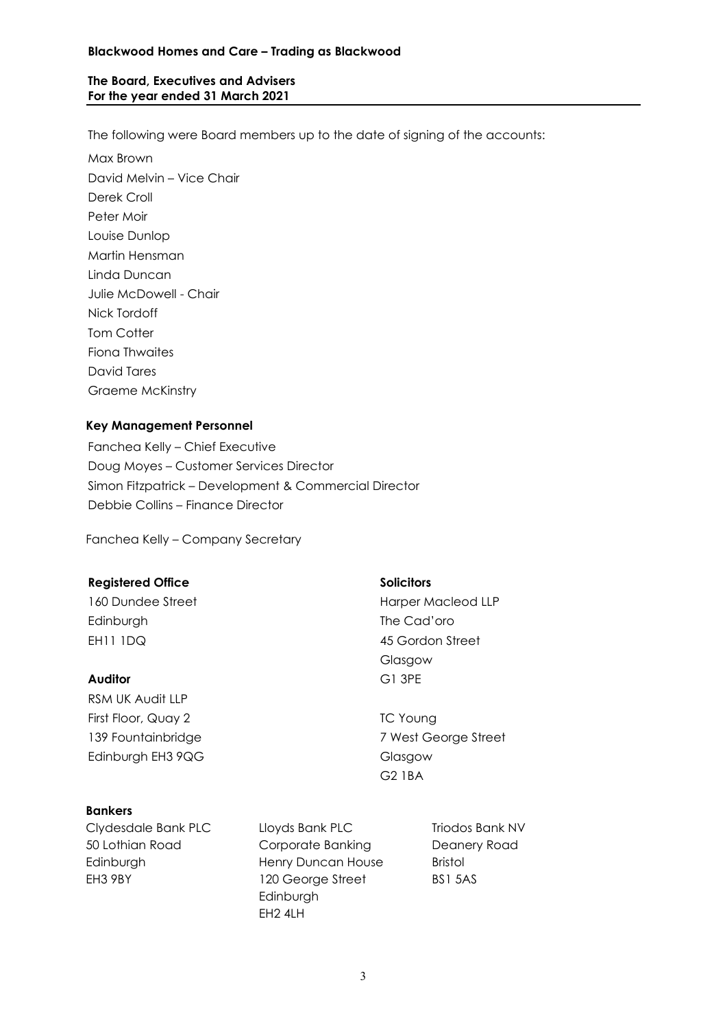#### **Blackwood Homes and Care – Trading as Blackwood**

## **The Board, Executives and Advisers For the year ended 31 March 2021**

The following were Board members up to the date of signing of the accounts:

Max Brown David Melvin – Vice Chair Derek Croll Peter Moir Louise Dunlop Martin Hensman Linda Duncan Julie McDowell - Chair Nick Tordoff Tom Cotter Fiona Thwaites David Tares Graeme McKinstry

# **Key Management Personnel**

Fanchea Kelly – Chief Executive Doug Moyes – Customer Services Director Simon Fitzpatrick – Development & Commercial Director Debbie Collins – Finance Director

Fanchea Kelly – Company Secretary

#### **Registered Office Solicitors**

Edinburgh The Cad'oro EH11 1DQ 45 Gordon Street

#### **Auditor** G1 3PE

RSM UK Audit LLP First Floor, Quay 2 TC Young Edinburgh EH3 9QG Glasgow

# **Bankers**

Clydesdale Bank PLC 50 Lothian Road Edinburgh EH3 9BY

Lloyds Bank PLC Corporate Banking Henry Duncan House 120 George Street Edinburgh EH2 4LH

Triodos Bank NV Deanery Road Bristol BS1 5AS

160 Dundee Street **Harper Macleod LLP** Glasgow

139 Fountainbridge 7 West George Street G2 1BA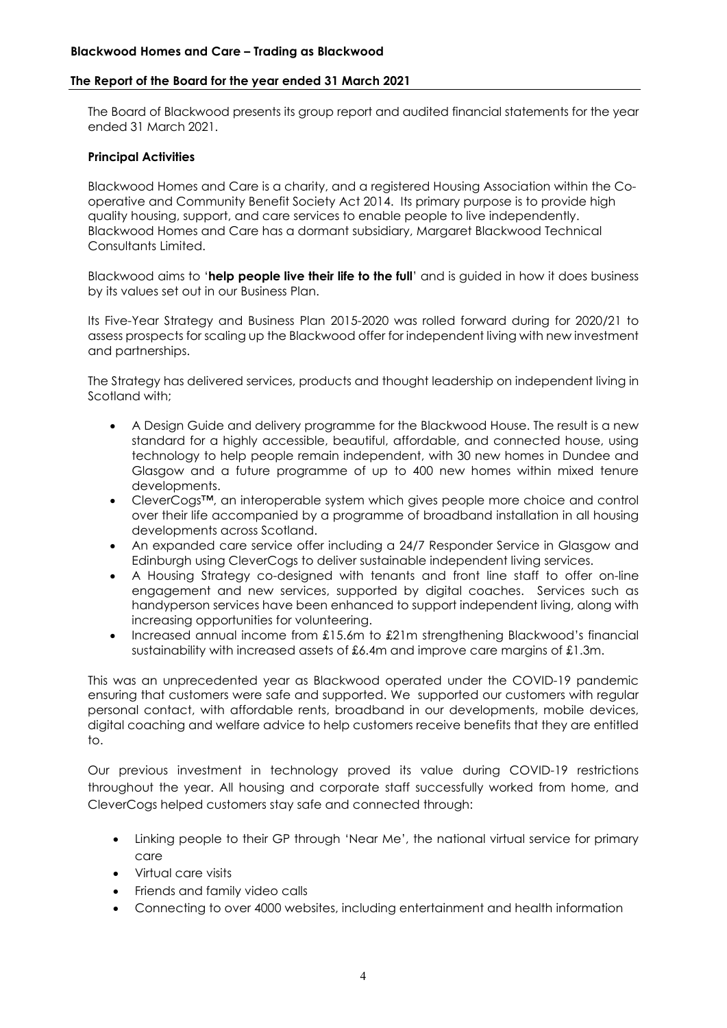#### **The Report of the Board for the year ended 31 March 2021**

The Board of Blackwood presents its group report and audited financial statements for the year ended 31 March 2021.

#### **Principal Activities**

Blackwood Homes and Care is a charity, and a registered Housing Association within the Cooperative and Community Benefit Society Act 2014. Its primary purpose is to provide high quality housing, support, and care services to enable people to live independently. Blackwood Homes and Care has a dormant subsidiary, Margaret Blackwood Technical Consultants Limited.

Blackwood aims to '**help people live their life to the full**' and is guided in how it does business by its values set out in our Business Plan.

Its Five-Year Strategy and Business Plan 2015-2020 was rolled forward during for 2020/21 to assess prospects for scaling up the Blackwood offer for independent living with new investment and partnerships.

The Strategy has delivered services, products and thought leadership on independent living in Scotland with;

- A Design Guide and delivery programme for the Blackwood House. The result is a new standard for a highly accessible, beautiful, affordable, and connected house, using technology to help people remain independent, with 30 new homes in Dundee and Glasgow and a future programme of up to 400 new homes within mixed tenure developments.
- CleverCogs™, an interoperable system which gives people more choice and control over their life accompanied by a programme of broadband installation in all housing developments across Scotland.
- An expanded care service offer including a 24/7 Responder Service in Glasgow and Edinburgh using CleverCogs to deliver sustainable independent living services.
- A Housing Strategy co-designed with tenants and front line staff to offer on-line engagement and new services, supported by digital coaches. Services such as handyperson services have been enhanced to support independent living, along with increasing opportunities for volunteering.
- Increased annual income from £15.6m to £21m strengthening Blackwood's financial sustainability with increased assets of £6.4m and improve care margins of £1.3m.

This was an unprecedented year as Blackwood operated under the COVID-19 pandemic ensuring that customers were safe and supported. We supported our customers with regular personal contact, with affordable rents, broadband in our developments, mobile devices, digital coaching and welfare advice to help customers receive benefits that they are entitled to.

Our previous investment in technology proved its value during COVID-19 restrictions throughout the year. All housing and corporate staff successfully worked from home, and CleverCogs helped customers stay safe and connected through:

- Linking people to their GP through 'Near Me', the national virtual service for primary care
- Virtual care visits
- Friends and family video calls
- Connecting to over 4000 websites, including entertainment and health information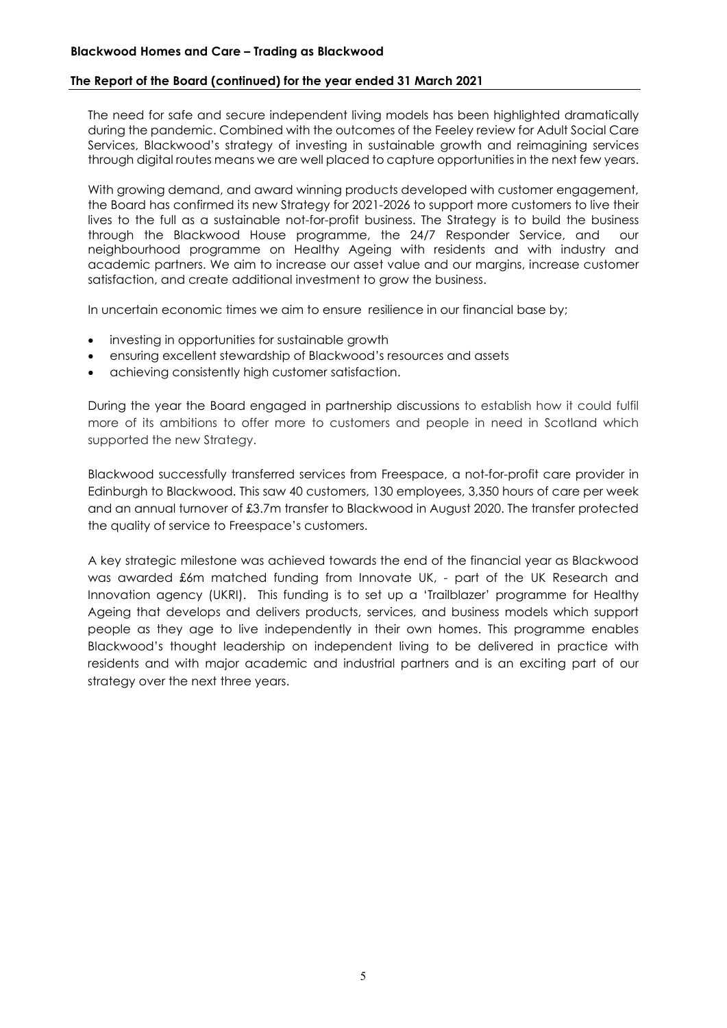The need for safe and secure independent living models has been highlighted dramatically during the pandemic. Combined with the outcomes of the Feeley review for Adult Social Care Services, Blackwood's strategy of investing in sustainable growth and reimagining services through digital routes means we are well placed to capture opportunities in the next few years.

With growing demand, and award winning products developed with customer engagement, the Board has confirmed its new Strategy for 2021-2026 to support more customers to live their lives to the full as a sustainable not-for-profit business. The Strategy is to build the business through the Blackwood House programme, the 24/7 Responder Service, and our neighbourhood programme on Healthy Ageing with residents and with industry and academic partners. We aim to increase our asset value and our margins, increase customer satisfaction, and create additional investment to grow the business.

In uncertain economic times we aim to ensure resilience in our financial base by;

- investing in opportunities for sustainable growth
- ensuring excellent stewardship of Blackwood's resources and assets
- achieving consistently high customer satisfaction.

During the year the Board engaged in partnership discussions to establish how it could fulfil more of its ambitions to offer more to customers and people in need in Scotland which supported the new Strategy.

Blackwood successfully transferred services from Freespace, a not-for-profit care provider in Edinburgh to Blackwood. This saw 40 customers, 130 employees, 3,350 hours of care per week and an annual turnover of £3.7m transfer to Blackwood in August 2020. The transfer protected the quality of service to Freespace's customers.

A key strategic milestone was achieved towards the end of the financial year as Blackwood was awarded £6m matched funding from Innovate UK, - part of the UK Research and Innovation agency (UKRI). This funding is to set up a 'Trailblazer' programme for Healthy Ageing that develops and delivers products, services, and business models which support people as they age to live independently in their own homes. This programme enables Blackwood's thought leadership on independent living to be delivered in practice with residents and with major academic and industrial partners and is an exciting part of our strategy over the next three years.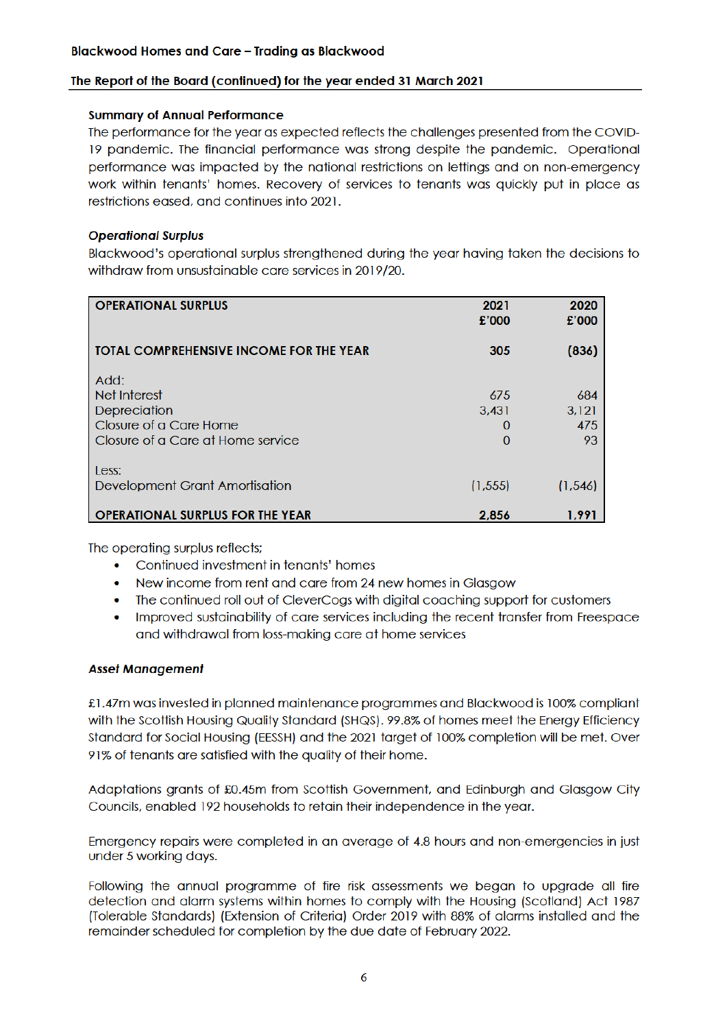#### **Summary of Annual Performance**

The performance for the year as expected reflects the challenges presented from the COVID-19 pandemic. The financial performance was strong despite the pandemic. Operational performance was impacted by the national restrictions on lettings and on non-emergency work within tenants' homes. Recovery of services to tenants was aujokly put in place as restrictions eased, and continues into 2021.

## **Operational Surplus**

Blackwood's operational surplus strengthened during the year having taken the decisions to withdraw from unsustainable care services in 2019/20.

| <b>OPERATIONAL SURPLUS</b>                     | 2021<br>£'000 | 2020<br>£'000 |
|------------------------------------------------|---------------|---------------|
| <b>TOTAL COMPREHENSIVE INCOME FOR THE YEAR</b> | 305           | (836)         |
| Add:                                           |               |               |
| Net Interest                                   | 675           | 684           |
| Depreciation                                   | 3,431         | 3.121         |
| Closure of a Care Home                         | O             | 475           |
| Closure of a Care at Home service              | 0             | 93            |
| Less:                                          |               |               |
| Development Grant Amortisation                 | (1, 555)      | (1, 546)      |
| <b>OPERATIONAL SURPLUS FOR THE YEAR</b>        | 2.856         | 1.991         |

The operating surplus reflects;

- Continued investment in tenants' homes
- New income from rent and care from 24 new homes in Glasgow
- $\bullet$ The continued roll out of CleverCoas with digital coaching support for customers
- Improved sustainability of care services including the recent transfer from Freespace and withdrawal from loss-making care at home services

#### **Asset Management**

£1.47m was invested in planned maintenance programmes and Blackwood is 100% compliant with the Scottish Housing Quality Standard (SHQS), 99.8% of homes meet the Energy Efficiency Standard for Social Housing (EESSH) and the 2021 target of 100% completion will be met. Over 91% of tenants are satisfied with the quality of their home.

Adaptations grants of £0.45m from Scottish Government, and Edinburgh and Glasgow City Councils, enabled 192 households to retain their independence in the year.

Emergency repairs were completed in an average of 4.8 hours and non-emergencies in just under 5 working days.

Following the annual programme of fire risk assessments we began to upgrade all fire detection and alarm systems within homes to comply with the Housing (Scotland) Act 1987 (Tolerable Standards) (Extension of Criteria) Order 2019 with 88% of alarms installed and the remainder scheduled for completion by the due date of February 2022.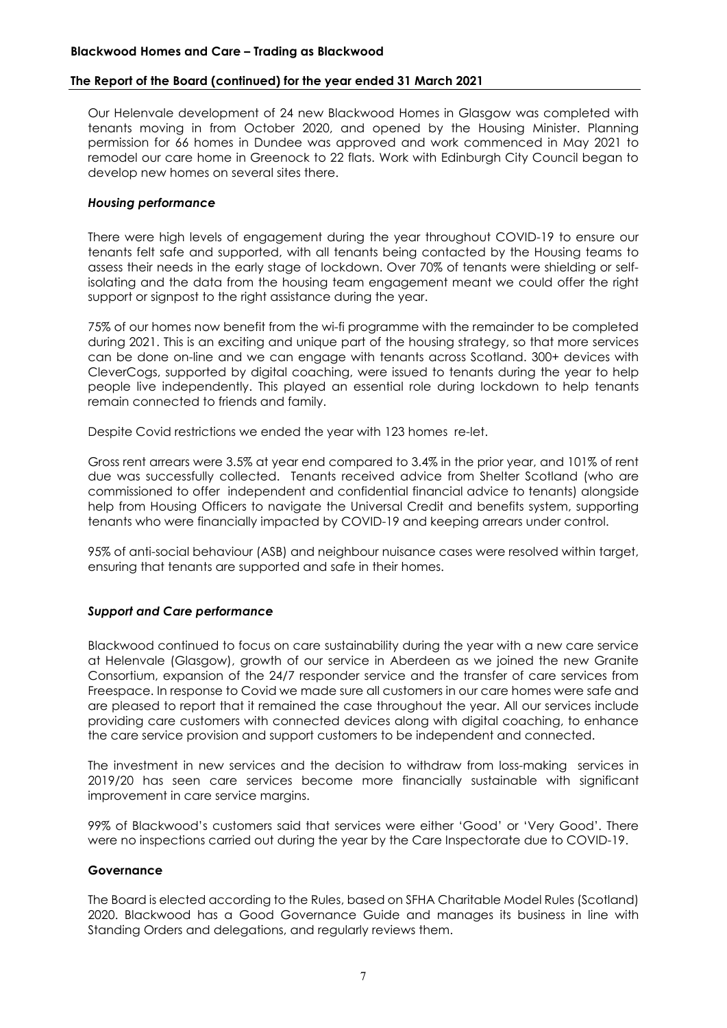Our Helenvale development of 24 new Blackwood Homes in Glasgow was completed with tenants moving in from October 2020, and opened by the Housing Minister. Planning permission for 66 homes in Dundee was approved and work commenced in May 2021 to remodel our care home in Greenock to 22 flats. Work with Edinburgh City Council began to develop new homes on several sites there.

#### *Housing performance*

There were high levels of engagement during the year throughout COVID-19 to ensure our tenants felt safe and supported, with all tenants being contacted by the Housing teams to assess their needs in the early stage of lockdown. Over 70% of tenants were shielding or selfisolating and the data from the housing team engagement meant we could offer the right support or signpost to the right assistance during the year.

75% of our homes now benefit from the wi-fi programme with the remainder to be completed during 2021. This is an exciting and unique part of the housing strategy, so that more services can be done on-line and we can engage with tenants across Scotland. 300+ devices with CleverCogs, supported by digital coaching, were issued to tenants during the year to help people live independently. This played an essential role during lockdown to help tenants remain connected to friends and family.

Despite Covid restrictions we ended the year with 123 homes re-let.

Gross rent arrears were 3.5% at year end compared to 3.4% in the prior year, and 101% of rent due was successfully collected. Tenants received advice from Shelter Scotland (who are commissioned to offer independent and confidential financial advice to tenants) alongside help from Housing Officers to navigate the Universal Credit and benefits system, supporting tenants who were financially impacted by COVID-19 and keeping arrears under control.

95% of anti-social behaviour (ASB) and neighbour nuisance cases were resolved within target, ensuring that tenants are supported and safe in their homes.

#### *Support and Care performance*

Blackwood continued to focus on care sustainability during the year with a new care service at Helenvale (Glasgow), growth of our service in Aberdeen as we joined the new Granite Consortium, expansion of the 24/7 responder service and the transfer of care services from Freespace. In response to Covid we made sure all customers in our care homes were safe and are pleased to report that it remained the case throughout the year. All our services include providing care customers with connected devices along with digital coaching, to enhance the care service provision and support customers to be independent and connected.

The investment in new services and the decision to withdraw from loss-making services in 2019/20 has seen care services become more financially sustainable with significant improvement in care service margins.

99% of Blackwood's customers said that services were either 'Good' or 'Very Good'. There were no inspections carried out during the year by the Care Inspectorate due to COVID-19.

#### **Governance**

The Board is elected according to the Rules, based on SFHA Charitable Model Rules (Scotland) 2020. Blackwood has a Good Governance Guide and manages its business in line with Standing Orders and delegations, and regularly reviews them.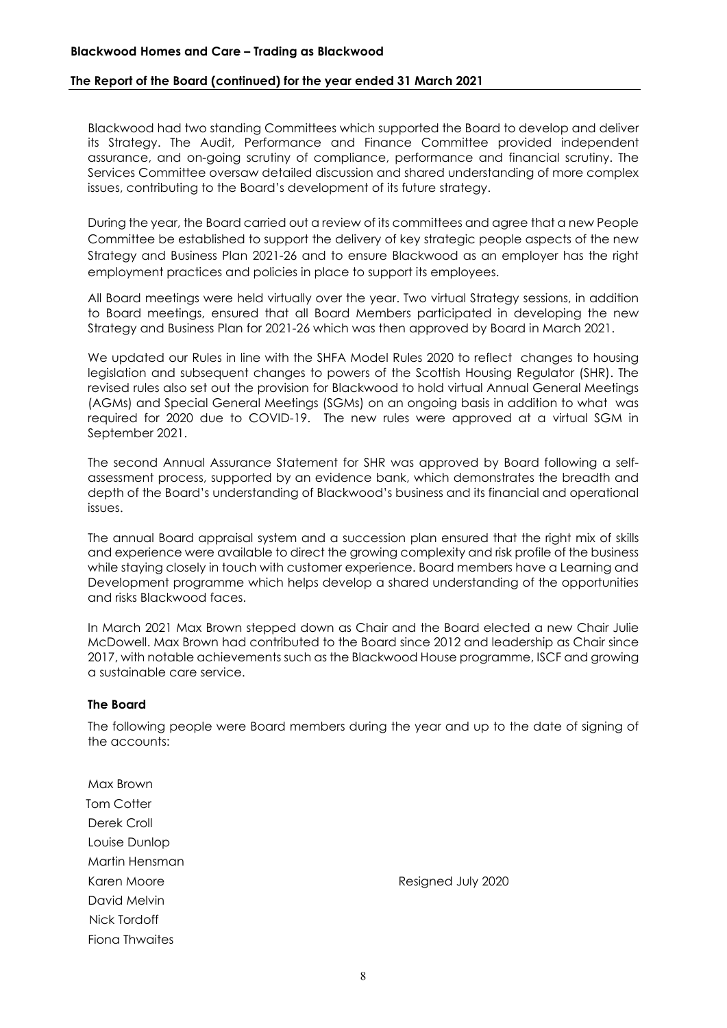#### **Blackwood Homes and Care – Trading as Blackwood**

#### **The Report of the Board (continued) for the year ended 31 March 2021**

Blackwood had two standing Committees which supported the Board to develop and deliver its Strategy. The Audit, Performance and Finance Committee provided independent assurance, and on-going scrutiny of compliance, performance and financial scrutiny. The Services Committee oversaw detailed discussion and shared understanding of more complex issues, contributing to the Board's development of its future strategy.

During the year, the Board carried out a review of its committees and agree that a new People Committee be established to support the delivery of key strategic people aspects of the new Strategy and Business Plan 2021-26 and to ensure Blackwood as an employer has the right employment practices and policies in place to support its employees.

All Board meetings were held virtually over the year. Two virtual Strategy sessions, in addition to Board meetings, ensured that all Board Members participated in developing the new Strategy and Business Plan for 2021-26 which was then approved by Board in March 2021.

We updated our Rules in line with the SHFA Model Rules 2020 to reflect changes to housing legislation and subsequent changes to powers of the Scottish Housing Regulator (SHR). The revised rules also set out the provision for Blackwood to hold virtual Annual General Meetings (AGMs) and Special General Meetings (SGMs) on an ongoing basis in addition to what was required for 2020 due to COVID-19. The new rules were approved at a virtual SGM in September 2021.

The second Annual Assurance Statement for SHR was approved by Board following a selfassessment process, supported by an evidence bank, which demonstrates the breadth and depth of the Board's understanding of Blackwood's business and its financial and operational issues.

The annual Board appraisal system and a succession plan ensured that the right mix of skills and experience were available to direct the growing complexity and risk profile of the business while staying closely in touch with customer experience. Board members have a Learning and Development programme which helps develop a shared understanding of the opportunities and risks Blackwood faces.

In March 2021 Max Brown stepped down as Chair and the Board elected a new Chair Julie McDowell. Max Brown had contributed to the Board since 2012 and leadership as Chair since 2017, with notable achievements such as the Blackwood House programme, ISCF and growing a sustainable care service.

#### **The Board**

The following people were Board members during the year and up to the date of signing of the accounts:

Max Brown **Tom Cotter** Derek Croll Louise Dunlop Martin Hensman David Melvin Nick Tordoff Fiona Thwaites

Karen Moore **Resigned July 2020**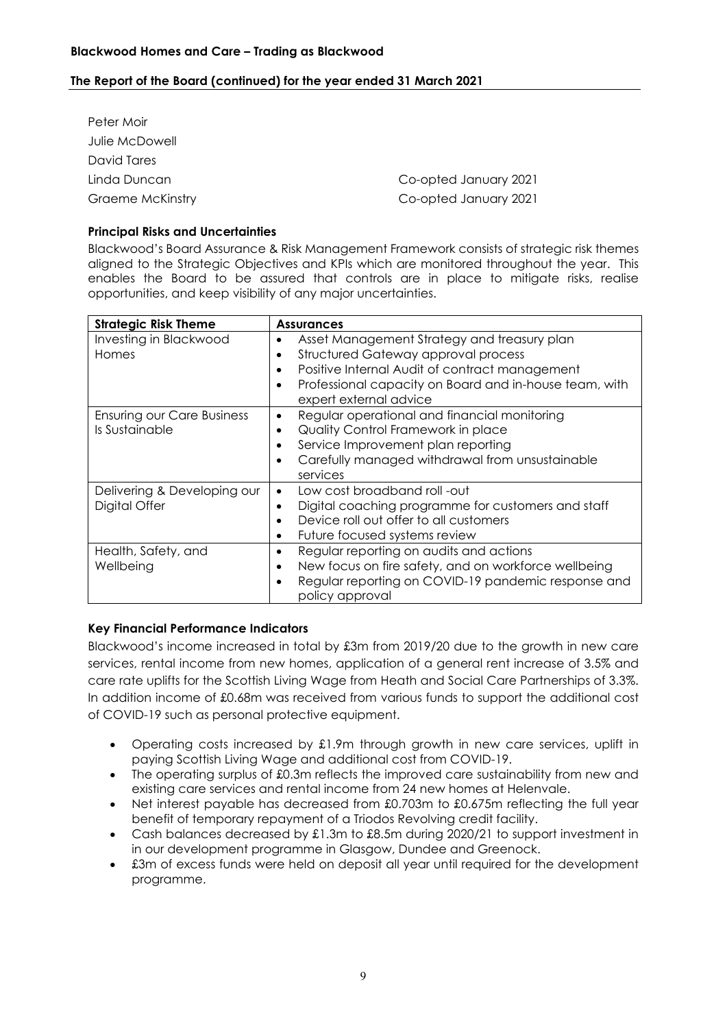| Peter Moir       |                       |
|------------------|-----------------------|
| Julie McDowell   |                       |
| David Tares      |                       |
| Linda Duncan     | Co-opted January 2021 |
| Graeme McKinstry | Co-opted January 2021 |

# **Principal Risks and Uncertainties**

Blackwood's Board Assurance & Risk Management Framework consists of strategic risk themes aligned to the Strategic Objectives and KPIs which are monitored throughout the year. This enables the Board to be assured that controls are in place to mitigate risks, realise opportunities, and keep visibility of any major uncertainties.

| <b>Strategic Risk Theme</b>                         | <b>Assurances</b>                                                                                                                                                                                                                     |
|-----------------------------------------------------|---------------------------------------------------------------------------------------------------------------------------------------------------------------------------------------------------------------------------------------|
| Investing in Blackwood<br>Homes                     | Asset Management Strategy and treasury plan<br>Structured Gateway approval process<br>Positive Internal Audit of contract management<br>Professional capacity on Board and in-house team, with<br>$\bullet$<br>expert external advice |
| <b>Ensuring our Care Business</b><br>Is Sustainable | Regular operational and financial monitoring<br>$\bullet$<br>Quality Control Framework in place<br>٠<br>Service Improvement plan reporting<br>Carefully managed withdrawal from unsustainable<br>services                             |
| Delivering & Developing our<br>Digital Offer        | Low cost broadband roll -out<br>Digital coaching programme for customers and staff<br>Device roll out offer to all customers<br>Future focused systems review                                                                         |
| Health, Safety, and<br>Wellbeing                    | Regular reporting on audits and actions<br>New focus on fire safety, and on workforce wellbeing<br>Regular reporting on COVID-19 pandemic response and<br>policy approval                                                             |

# **Key Financial Performance Indicators**

Blackwood's income increased in total by £3m from 2019/20 due to the growth in new care services, rental income from new homes, application of a general rent increase of 3.5% and care rate uplifts for the Scottish Living Wage from Heath and Social Care Partnerships of 3.3%. In addition income of £0.68m was received from various funds to support the additional cost of COVID-19 such as personal protective equipment.

- Operating costs increased by £1.9m through growth in new care services, uplift in paying Scottish Living Wage and additional cost from COVID-19.
- The operating surplus of £0.3m reflects the improved care sustainability from new and existing care services and rental income from 24 new homes at Helenvale.
- Net interest payable has decreased from £0.703m to £0.675m reflecting the full year benefit of temporary repayment of a Triodos Revolving credit facility.
- Cash balances decreased by £1.3m to £8.5m during 2020/21 to support investment in in our development programme in Glasgow, Dundee and Greenock.
- £3m of excess funds were held on deposit all year until required for the development programme.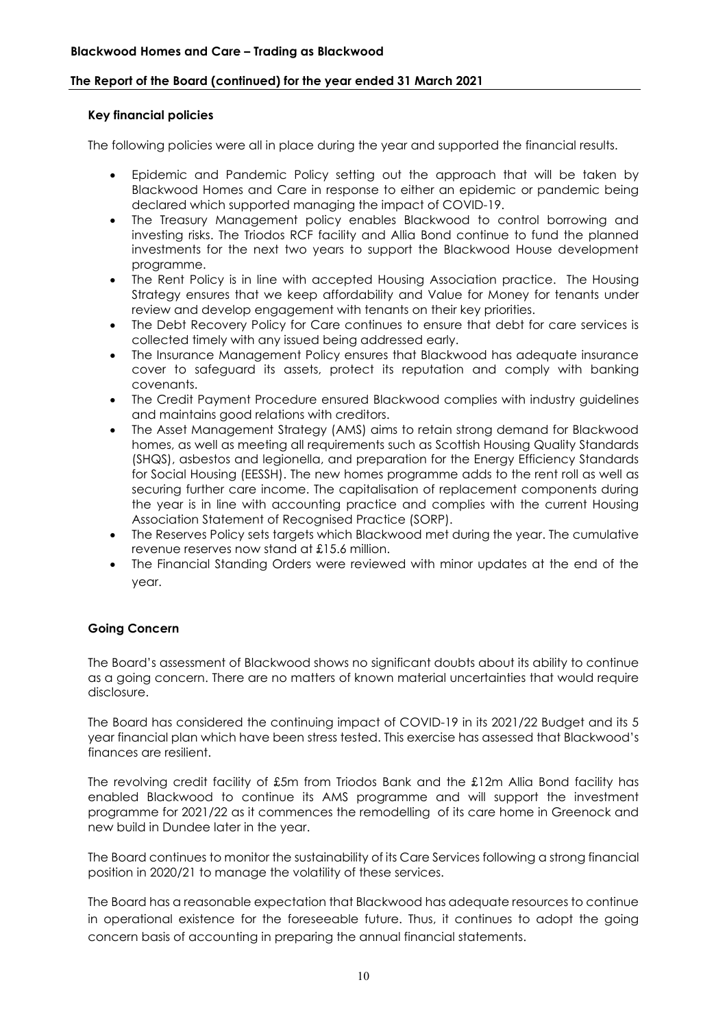#### **Key financial policies**

The following policies were all in place during the year and supported the financial results.

- Epidemic and Pandemic Policy setting out the approach that will be taken by Blackwood Homes and Care in response to either an epidemic or pandemic being declared which supported managing the impact of COVID-19.
- The Treasury Management policy enables Blackwood to control borrowing and investing risks. The Triodos RCF facility and Allia Bond continue to fund the planned investments for the next two years to support the Blackwood House development programme.
- The Rent Policy is in line with accepted Housing Association practice. The Housing Strategy ensures that we keep affordability and Value for Money for tenants under review and develop engagement with tenants on their key priorities.
- The Debt Recovery Policy for Care continues to ensure that debt for care services is collected timely with any issued being addressed early.
- The Insurance Management Policy ensures that Blackwood has adequate insurance cover to safeguard its assets, protect its reputation and comply with banking covenants.
- The Credit Payment Procedure ensured Blackwood complies with industry guidelines and maintains good relations with creditors.
- The Asset Management Strategy (AMS) aims to retain strong demand for Blackwood homes, as well as meeting all requirements such as Scottish Housing Quality Standards (SHQS), asbestos and legionella, and preparation for the Energy Efficiency Standards for Social Housing (EESSH). The new homes programme adds to the rent roll as well as securing further care income. The capitalisation of replacement components during the year is in line with accounting practice and complies with the current Housing Association Statement of Recognised Practice (SORP).
- The Reserves Policy sets targets which Blackwood met during the year. The cumulative revenue reserves now stand at £15.6 million.
- The Financial Standing Orders were reviewed with minor updates at the end of the year.

#### **Going Concern**

The Board's assessment of Blackwood shows no significant doubts about its ability to continue as a going concern. There are no matters of known material uncertainties that would require disclosure.

The Board has considered the continuing impact of COVID-19 in its 2021/22 Budget and its 5 year financial plan which have been stress tested. This exercise has assessed that Blackwood's finances are resilient.

The revolving credit facility of £5m from Triodos Bank and the £12m Allia Bond facility has enabled Blackwood to continue its AMS programme and will support the investment programme for 2021/22 as it commences the remodelling of its care home in Greenock and new build in Dundee later in the year.

The Board continues to monitor the sustainability of its Care Services following a strong financial position in 2020/21 to manage the volatility of these services.

The Board has a reasonable expectation that Blackwood has adequate resources to continue in operational existence for the foreseeable future. Thus, it continues to adopt the going concern basis of accounting in preparing the annual financial statements.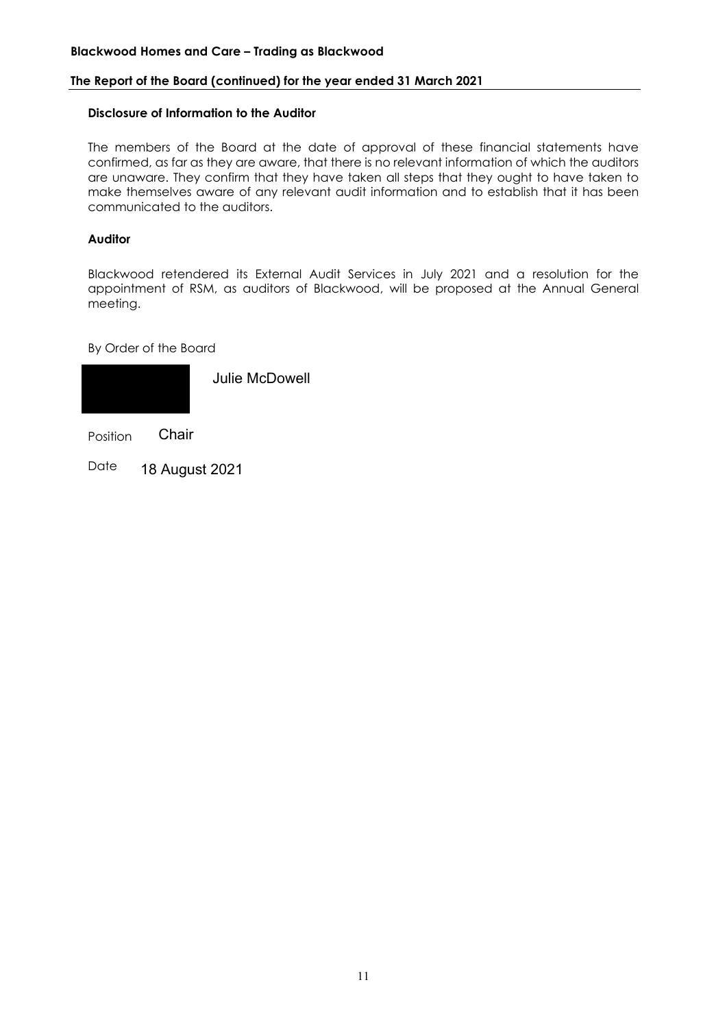#### **Blackwood Homes and Care – Trading as Blackwood**

#### **The Report of the Board (continued) for the year ended 31 March 2021**

#### **Disclosure of Information to the Auditor**

The members of the Board at the date of approval of these financial statements have confirmed, as far as they are aware, that there is no relevant information of which the auditors are unaware. They confirm that they have taken all steps that they ought to have taken to make themselves aware of any relevant audit information and to establish that it has been communicated to the auditors.

# **Auditor**

Blackwood retendered its External Audit Services in July 2021 and a resolution for the appointment of RSM, as auditors of Blackwood, will be proposed at the Annual General meeting.

By Order of the Board



Position **Chair** 

Date 18 August 2021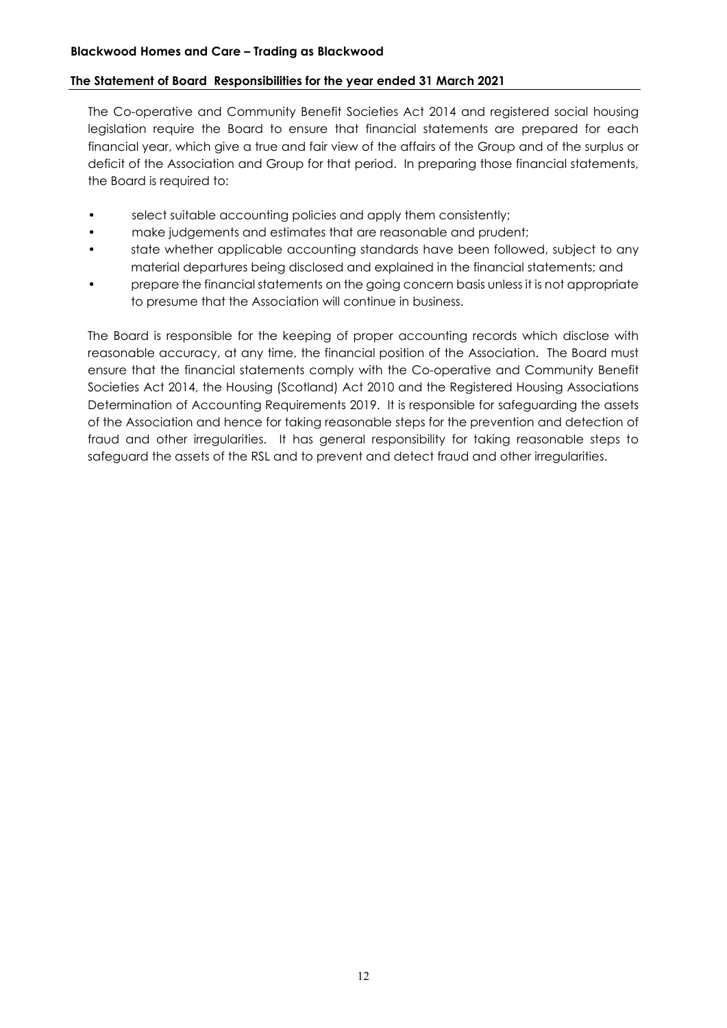# **The Statement of Board Responsibilities for the year ended 31 March 2021**

The Co-operative and Community Benefit Societies Act 2014 and registered social housing legislation require the Board to ensure that financial statements are prepared for each financial year, which give a true and fair view of the affairs of the Group and of the surplus or deficit of the Association and Group for that period. In preparing those financial statements, the Board is required to:

- select suitable accounting policies and apply them consistently;
- make judgements and estimates that are reasonable and prudent;
- state whether applicable accounting standards have been followed, subject to any material departures being disclosed and explained in the financial statements; and
- prepare the financial statements on the going concern basis unless it is not appropriate to presume that the Association will continue in business.

The Board is responsible for the keeping of proper accounting records which disclose with reasonable accuracy, at any time, the financial position of the Association. The Board must ensure that the financial statements comply with the Co-operative and Community Benefit Societies Act 2014, the Housing (Scotland) Act 2010 and the Registered Housing Associations Determination of Accounting Requirements 2019. It is responsible for safeguarding the assets of the Association and hence for taking reasonable steps for the prevention and detection of fraud and other irregularities. It has general responsibility for taking reasonable steps to safeguard the assets of the RSL and to prevent and detect fraud and other irregularities.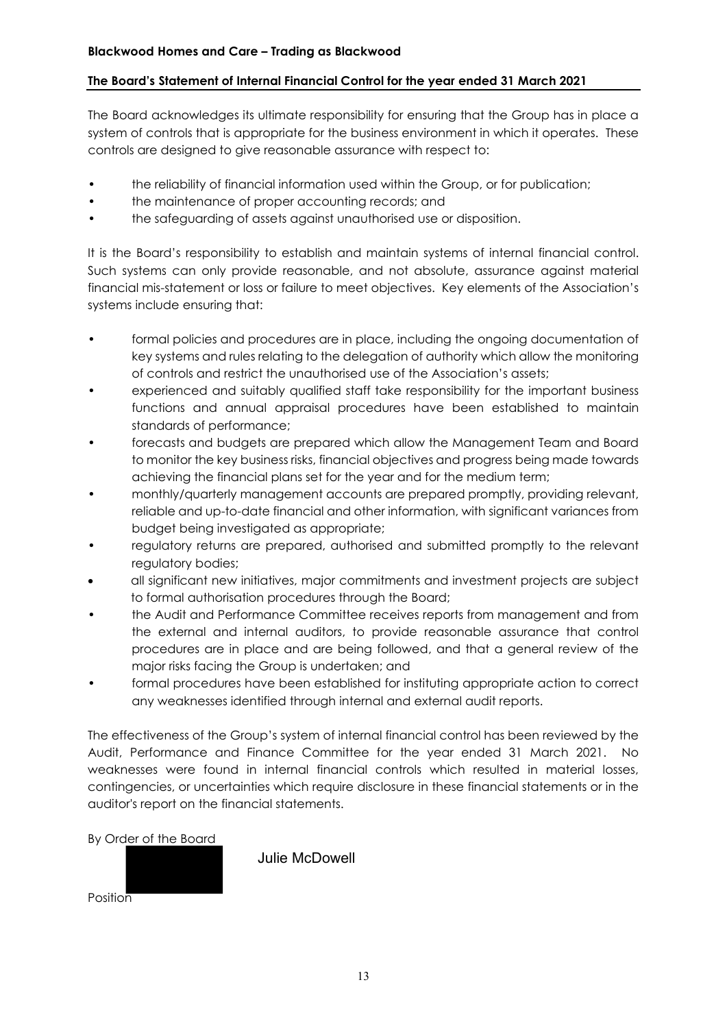# **The Board's Statement of Internal Financial Control for the year ended 31 March 2021**

The Board acknowledges its ultimate responsibility for ensuring that the Group has in place a system of controls that is appropriate for the business environment in which it operates. These controls are designed to give reasonable assurance with respect to:

- the reliability of financial information used within the Group, or for publication;
- the maintenance of proper accounting records; and
- the safeguarding of assets against unauthorised use or disposition.

It is the Board's responsibility to establish and maintain systems of internal financial control. Such systems can only provide reasonable, and not absolute, assurance against material financial mis-statement or loss or failure to meet objectives. Key elements of the Association's systems include ensuring that:

- formal policies and procedures are in place, including the ongoing documentation of key systems and rules relating to the delegation of authority which allow the monitoring of controls and restrict the unauthorised use of the Association's assets;
- experienced and suitably qualified staff take responsibility for the important business functions and annual appraisal procedures have been established to maintain standards of performance;
- forecasts and budgets are prepared which allow the Management Team and Board to monitor the key business risks, financial objectives and progress being made towards achieving the financial plans set for the year and for the medium term;
- monthly/quarterly management accounts are prepared promptly, providing relevant, reliable and up-to-date financial and other information, with significant variances from budget being investigated as appropriate;
- regulatory returns are prepared, authorised and submitted promptly to the relevant regulatory bodies;
- all significant new initiatives, major commitments and investment projects are subject to formal authorisation procedures through the Board;
- the Audit and Performance Committee receives reports from management and from the external and internal auditors, to provide reasonable assurance that control procedures are in place and are being followed, and that a general review of the major risks facing the Group is undertaken; and
- formal procedures have been established for instituting appropriate action to correct any weaknesses identified through internal and external audit reports.

The effectiveness of the Group's system of internal financial control has been reviewed by the Audit, Performance and Finance Committee for the year ended 31 March 2021. No weaknesses were found in internal financial controls which resulted in material losses, contingencies, or uncertainties which require disclosure in these financial statements or in the auditor's report on the financial statements.

By Order of the Board

**Position** 

Julie McDowell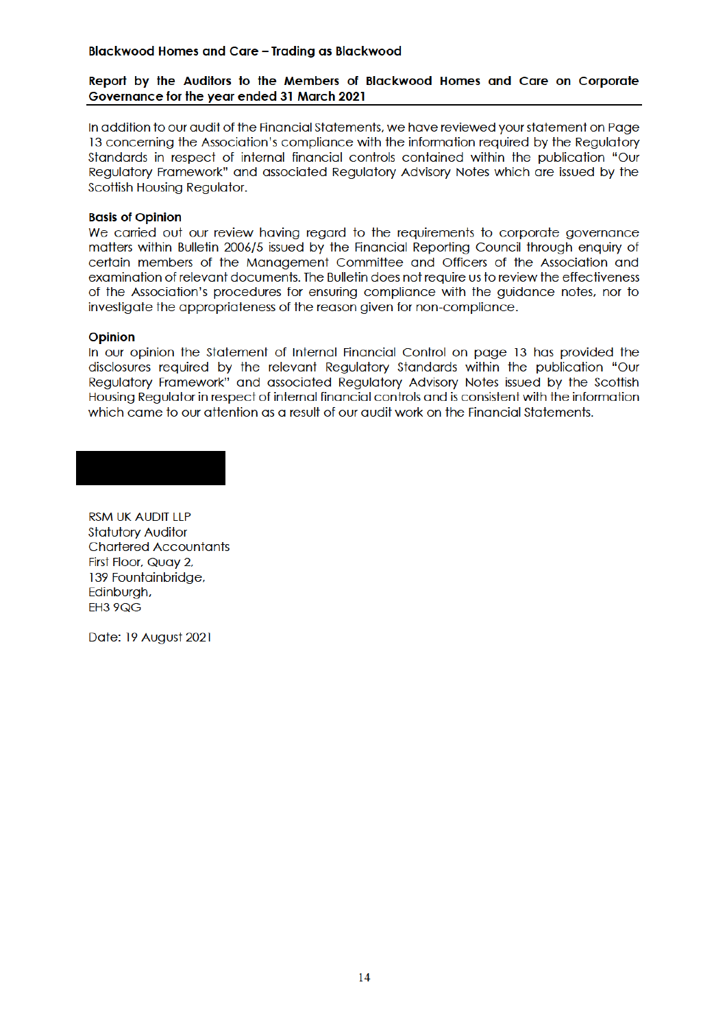#### **Blackwood Homes and Care - Trading as Blackwood**

### Report by the Auditors to the Members of Blackwood Homes and Care on Corporate Governance for the year ended 31 March 2021

In addition to our audit of the Financial Statements, we have reviewed your statement on Page 13 concerning the Association's compliance with the information required by the Requlatory Standards in respect of internal financial controls contained within the publication "Our Regulatory Framework" and associated Regulatory Advisory Notes which are issued by the Scottish Housing Regulator.

#### **Basis of Opinion**

We carried out our review having regard to the requirements to corporate governance matters within Bulletin 2006/5 issued by the Financial Reporting Council through enguiry of certain members of the Management Committee and Officers of the Association and examination of relevant documents. The Bulletin does not require us to review the effectiveness of the Association's procedures for ensuring compliance with the auidance notes, nor to investigate the appropriateness of the reason given for non-compliance.

#### **Opinion**

In our opinion the Statement of Internal Financial Control on page 13 has provided the disclosures required by the relevant Requlatory Standards within the publication "Our Reaulatory Framework" and associated Reaulatory Advisory Notes issued by the Scottish Housing Regulator in respect of internal financial controls and is consistent with the information which came to our attention as a result of our audit work on the Financial Statements.

#### **RSM UK AUDIT LLP Statutory Auditor Chartered Accountants** First Floor, Quay 2, 139 Fountainbridge, Edinburgh, EH3 9QG

Date: 19 August 2021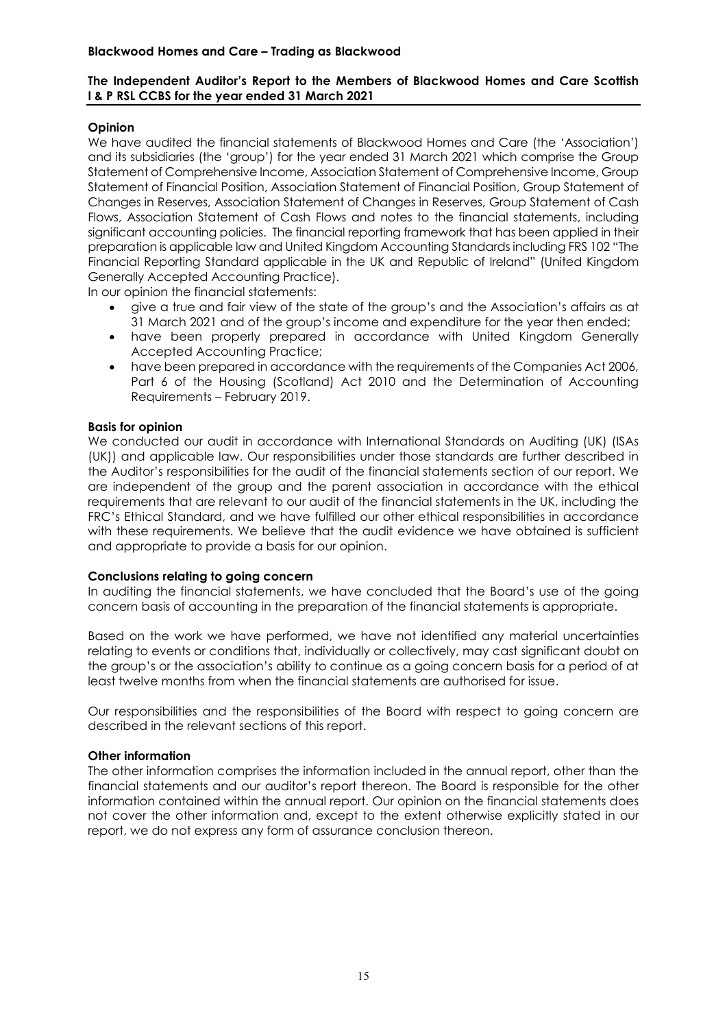# **The Independent Auditor's Report to the Members of Blackwood Homes and Care Scottish I & P RSL CCBS for the year ended 31 March 2021**

# **Opinion**

We have audited the financial statements of Blackwood Homes and Care (the 'Association') and its subsidiaries (the 'group') for the year ended 31 March 2021 which comprise the Group Statement of Comprehensive Income, Association Statement of Comprehensive Income, Group Statement of Financial Position, Association Statement of Financial Position, Group Statement of Changes in Reserves, Association Statement of Changes in Reserves, Group Statement of Cash Flows, Association Statement of Cash Flows and notes to the financial statements, including significant accounting policies. The financial reporting framework that has been applied in their preparation is applicable law and United Kingdom Accounting Standards including FRS 102 "The Financial Reporting Standard applicable in the UK and Republic of Ireland" (United Kingdom Generally Accepted Accounting Practice).

In our opinion the financial statements:

- give a true and fair view of the state of the group's and the Association's affairs as at 31 March 2021 and of the group's income and expenditure for the year then ended;
- have been properly prepared in accordance with United Kingdom Generally Accepted Accounting Practice;
- have been prepared in accordance with the requirements of the Companies Act 2006, Part 6 of the Housing (Scotland) Act 2010 and the Determination of Accounting Requirements – February 2019.

# **Basis for opinion**

We conducted our audit in accordance with International Standards on Auditing (UK) (ISAs (UK)) and applicable law. Our responsibilities under those standards are further described in the Auditor's responsibilities for the audit of the financial statements section of our report. We are independent of the group and the parent association in accordance with the ethical requirements that are relevant to our audit of the financial statements in the UK, including the FRC's Ethical Standard, and we have fulfilled our other ethical responsibilities in accordance with these requirements. We believe that the audit evidence we have obtained is sufficient and appropriate to provide a basis for our opinion.

#### **Conclusions relating to going concern**

In auditing the financial statements, we have concluded that the Board's use of the going concern basis of accounting in the preparation of the financial statements is appropriate.

Based on the work we have performed, we have not identified any material uncertainties relating to events or conditions that, individually or collectively, may cast significant doubt on the group's or the association's ability to continue as a going concern basis for a period of at least twelve months from when the financial statements are authorised for issue.

Our responsibilities and the responsibilities of the Board with respect to going concern are described in the relevant sections of this report.

#### **Other information**

The other information comprises the information included in the annual report, other than the financial statements and our auditor's report thereon. The Board is responsible for the other information contained within the annual report. Our opinion on the financial statements does not cover the other information and, except to the extent otherwise explicitly stated in our report, we do not express any form of assurance conclusion thereon.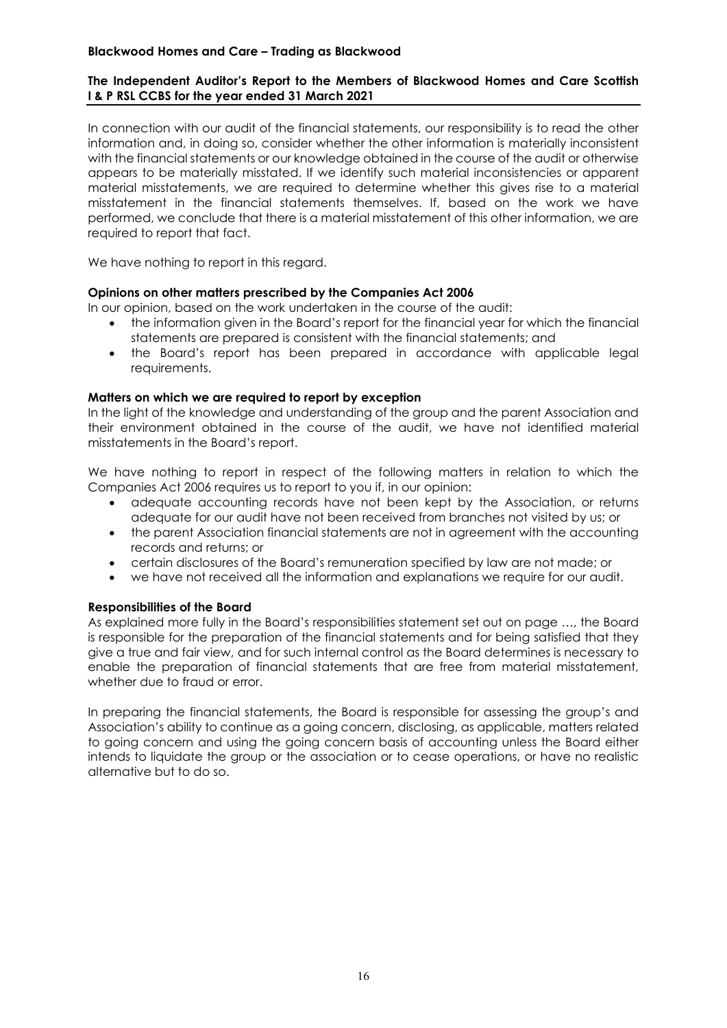# **Blackwood Homes and Care – Trading as Blackwood**

## **The Independent Auditor's Report to the Members of Blackwood Homes and Care Scottish I & P RSL CCBS for the year ended 31 March 2021**

In connection with our audit of the financial statements, our responsibility is to read the other information and, in doing so, consider whether the other information is materially inconsistent with the financial statements or our knowledge obtained in the course of the audit or otherwise appears to be materially misstated. If we identify such material inconsistencies or apparent material misstatements, we are required to determine whether this gives rise to a material misstatement in the financial statements themselves. If, based on the work we have performed, we conclude that there is a material misstatement of this other information, we are required to report that fact.

We have nothing to report in this regard.

#### **Opinions on other matters prescribed by the Companies Act 2006**

In our opinion, based on the work undertaken in the course of the audit:

- the information given in the Board's report for the financial year for which the financial statements are prepared is consistent with the financial statements; and
- the Board's report has been prepared in accordance with applicable legal requirements.

#### **Matters on which we are required to report by exception**

In the light of the knowledge and understanding of the group and the parent Association and their environment obtained in the course of the audit, we have not identified material misstatements in the Board's report.

We have nothing to report in respect of the following matters in relation to which the Companies Act 2006 requires us to report to you if, in our opinion:

- adequate accounting records have not been kept by the Association, or returns adequate for our audit have not been received from branches not visited by us; or
- the parent Association financial statements are not in agreement with the accounting records and returns; or
- certain disclosures of the Board's remuneration specified by law are not made; or
- we have not received all the information and explanations we require for our audit.

#### **Responsibilities of the Board**

As explained more fully in the Board's responsibilities statement set out on page …, the Board is responsible for the preparation of the financial statements and for being satisfied that they give a true and fair view, and for such internal control as the Board determines is necessary to enable the preparation of financial statements that are free from material misstatement, whether due to fraud or error.

In preparing the financial statements, the Board is responsible for assessing the group's and Association's ability to continue as a going concern, disclosing, as applicable, matters related to going concern and using the going concern basis of accounting unless the Board either intends to liquidate the group or the association or to cease operations, or have no realistic alternative but to do so.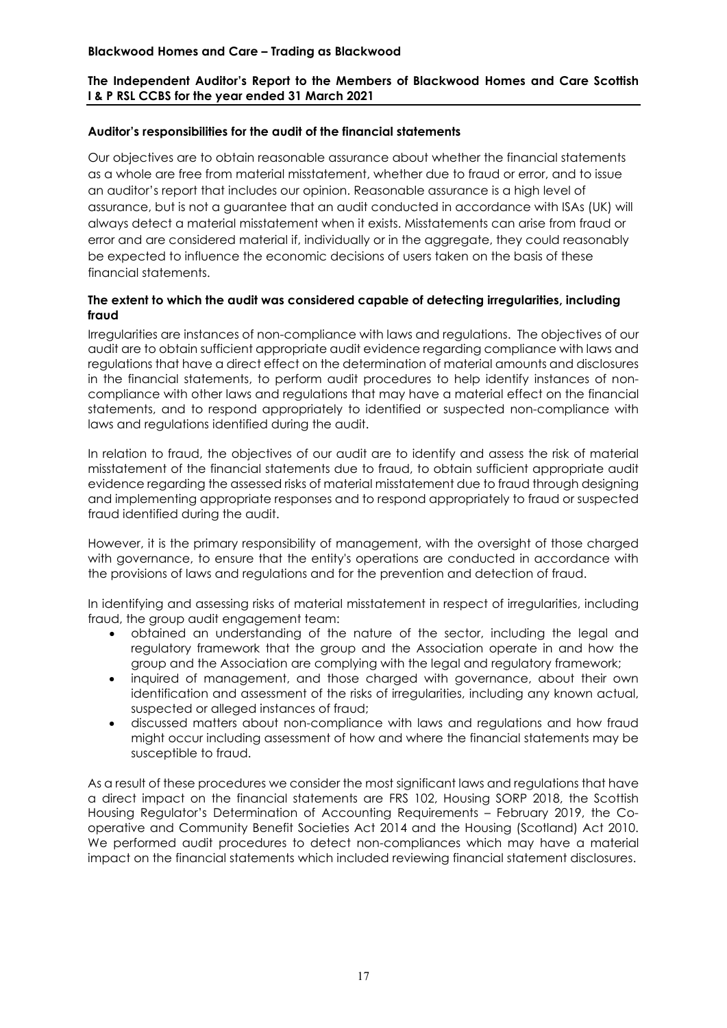# **The Independent Auditor's Report to the Members of Blackwood Homes and Care Scottish I & P RSL CCBS for the year ended 31 March 2021**

# **Auditor's responsibilities for the audit of the financial statements**

Our objectives are to obtain reasonable assurance about whether the financial statements as a whole are free from material misstatement, whether due to fraud or error, and to issue an auditor's report that includes our opinion. Reasonable assurance is a high level of assurance, but is not a guarantee that an audit conducted in accordance with ISAs (UK) will always detect a material misstatement when it exists. Misstatements can arise from fraud or error and are considered material if, individually or in the aggregate, they could reasonably be expected to influence the economic decisions of users taken on the basis of these financial statements.

# **The extent to which the audit was considered capable of detecting irregularities, including fraud**

Irregularities are instances of non-compliance with laws and regulations. The objectives of our audit are to obtain sufficient appropriate audit evidence regarding compliance with laws and regulations that have a direct effect on the determination of material amounts and disclosures in the financial statements, to perform audit procedures to help identify instances of noncompliance with other laws and regulations that may have a material effect on the financial statements, and to respond appropriately to identified or suspected non-compliance with laws and regulations identified during the audit.

In relation to fraud, the objectives of our audit are to identify and assess the risk of material misstatement of the financial statements due to fraud, to obtain sufficient appropriate audit evidence regarding the assessed risks of material misstatement due to fraud through designing and implementing appropriate responses and to respond appropriately to fraud or suspected fraud identified during the audit.

However, it is the primary responsibility of management, with the oversight of those charged with governance, to ensure that the entity's operations are conducted in accordance with the provisions of laws and regulations and for the prevention and detection of fraud.

In identifying and assessing risks of material misstatement in respect of irregularities, including fraud, the group audit engagement team:

- obtained an understanding of the nature of the sector, including the legal and regulatory framework that the group and the Association operate in and how the group and the Association are complying with the legal and regulatory framework;
- inquired of management, and those charged with governance, about their own identification and assessment of the risks of irregularities, including any known actual, suspected or alleged instances of fraud;
- discussed matters about non-compliance with laws and regulations and how fraud might occur including assessment of how and where the financial statements may be susceptible to fraud.

As a result of these procedures we consider the most significant laws and regulations that have a direct impact on the financial statements are FRS 102, Housing SORP 2018, the Scottish Housing Regulator's Determination of Accounting Requirements – February 2019, the Cooperative and Community Benefit Societies Act 2014 and the Housing (Scotland) Act 2010. We performed audit procedures to detect non-compliances which may have a material impact on the financial statements which included reviewing financial statement disclosures.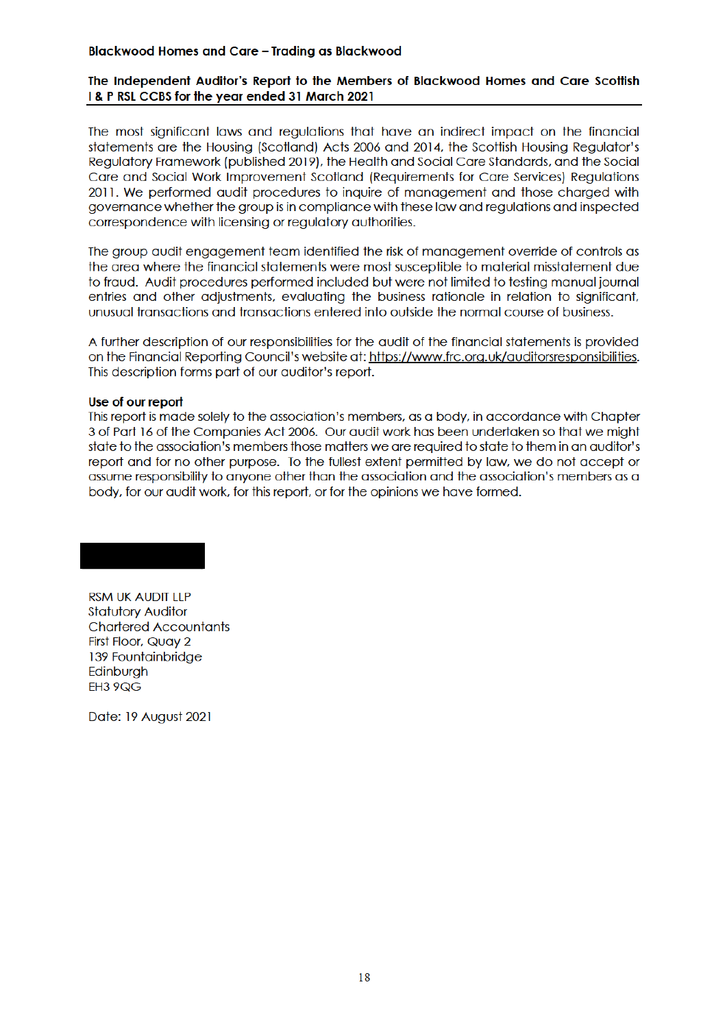#### **Blackwood Homes and Care - Trading as Blackwood**

## The Independent Auditor's Report to the Members of Blackwood Homes and Care Scottish I & P RSL CCBS for the year ended 31 March 2021

The most significant laws and regulations that have an indirect impact on the financial statements are the Housing (Scotland) Acts 2006 and 2014, the Scottish Housing Regulator's Reaulatory Framework (published 2019), the Health and Social Care Standards, and the Social Care and Social Work Improvement Scotland (Requirements for Care Services) Regulations 2011. We performed audit procedures to inquire of management and those charaed with governance whether the group is in compliance with these law and regulations and inspected correspondence with licensing or regulatory guthorities.

The group qudit engagement team identified the risk of management override of controls as the area where the financial statements were most susceptible to material misstatement due to fraud. Audit procedures performed included but were not limited to testing manual journal entries and other adjustments, evaluating the business rationale in relation to significant, unusual transactions and transactions entered into outside the normal course of business.

A further description of our responsibilities for the audit of the financial statements is provided on the Financial Reporting Council's website at: https://www.frc.org.uk/auditorsresponsibilities. This description forms part of our auditor's report.

#### Use of our report

This report is made solely to the association's members, as a body, in accordance with Chapter 3 of Part 16 of the Companies Act 2006. Our audit work has been undertaken so that we might state to the association's members those matters we are required to state to them in an auditor's report and for no other purpose. To the fullest extent permitted by law, we do not accept or assume responsibility to anyone other than the association and the association's members as a body, for our audit work, for this report, or for the opinions we have formed.

**RSM UK AUDIT LLP Statutory Auditor Chartered Accountants** First Floor, Quay 2 139 Fountainbridge Edinburgh **EH3 9QG** 

Date: 19 August 2021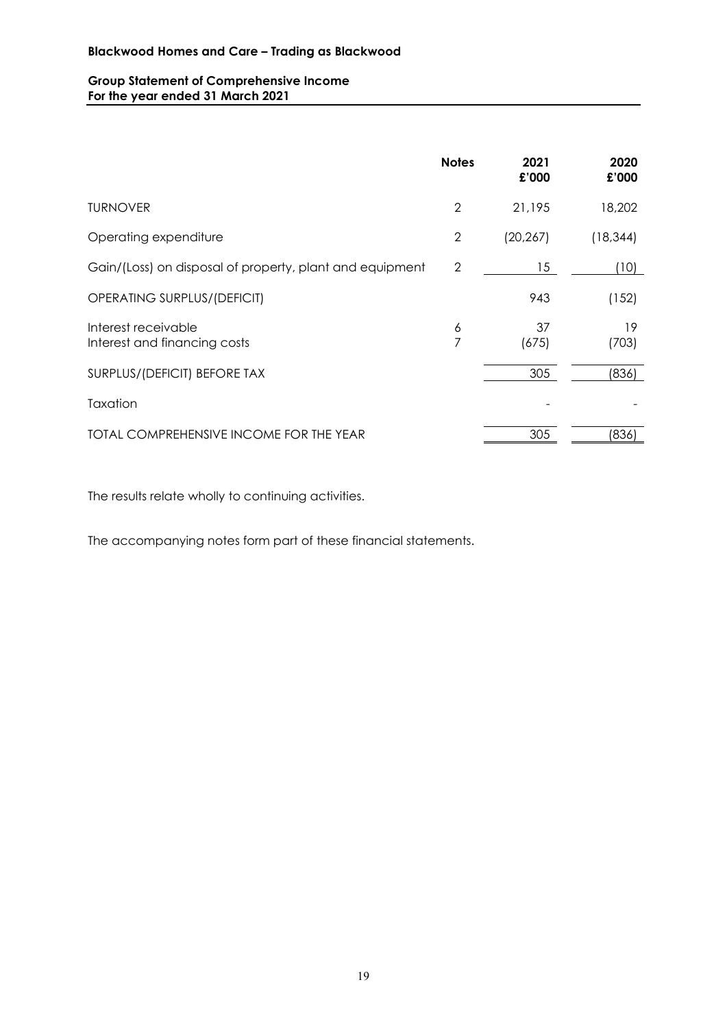# **Group Statement of Comprehensive Income For the year ended 31 March 2021**

|                                                          | <b>Notes</b>   | 2021<br>£'000 | 2020<br>£'000 |
|----------------------------------------------------------|----------------|---------------|---------------|
| <b>TURNOVER</b>                                          | $\overline{2}$ | 21,195        | 18,202        |
| Operating expenditure                                    | $\overline{2}$ | (20, 267)     | (18, 344)     |
| Gain/(Loss) on disposal of property, plant and equipment | 2              | 15            | (10)          |
| OPERATING SURPLUS/(DEFICIT)                              |                | 943           | (152)         |
| Interest receivable<br>Interest and financing costs      | 6<br>7         | 37<br>(675)   | 19<br>(703)   |
| SURPLUS/(DEFICIT) BEFORE TAX                             |                | 305           | (836)         |
| Taxation                                                 |                |               |               |
| TOTAL COMPREHENSIVE INCOME FOR THE YEAR                  |                | 305           | (836)         |

The results relate wholly to continuing activities.

The accompanying notes form part of these financial statements.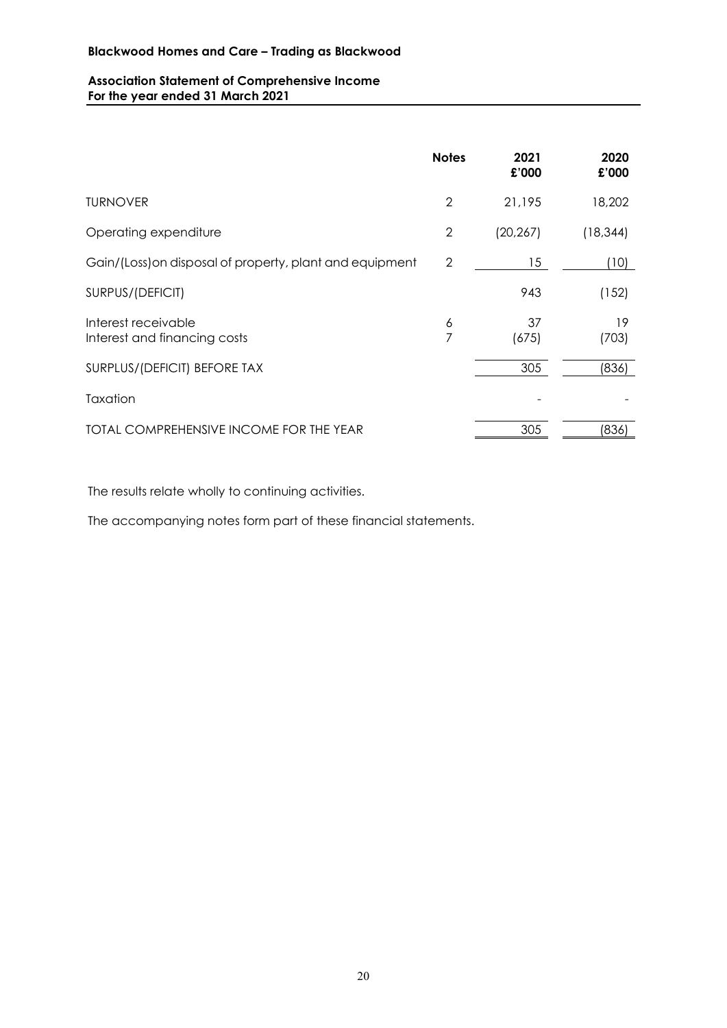# **Association Statement of Comprehensive Income For the year ended 31 March 2021**

|                                                          | <b>Notes</b>   | 2021<br>£'000 | 2020<br>£'000 |
|----------------------------------------------------------|----------------|---------------|---------------|
| <b>TURNOVER</b>                                          | $\overline{2}$ | 21,195        | 18,202        |
| Operating expenditure                                    | $\overline{2}$ | (20, 267)     | (18, 344)     |
| Gain/(Loss) on disposal of property, plant and equipment | $\overline{2}$ | 15            | (10)          |
| SURPUS/(DEFICIT)                                         |                | 943           | (152)         |
| Interest receivable<br>Interest and financing costs      | 6<br>7         | 37<br>(675)   | 19<br>(703)   |
| SURPLUS/(DEFICIT) BEFORE TAX                             |                | 305           | (836)         |
| Taxation                                                 |                |               |               |
| TOTAL COMPREHENSIVE INCOME FOR THE YEAR                  |                | 305           | (836)         |

The results relate wholly to continuing activities.

The accompanying notes form part of these financial statements.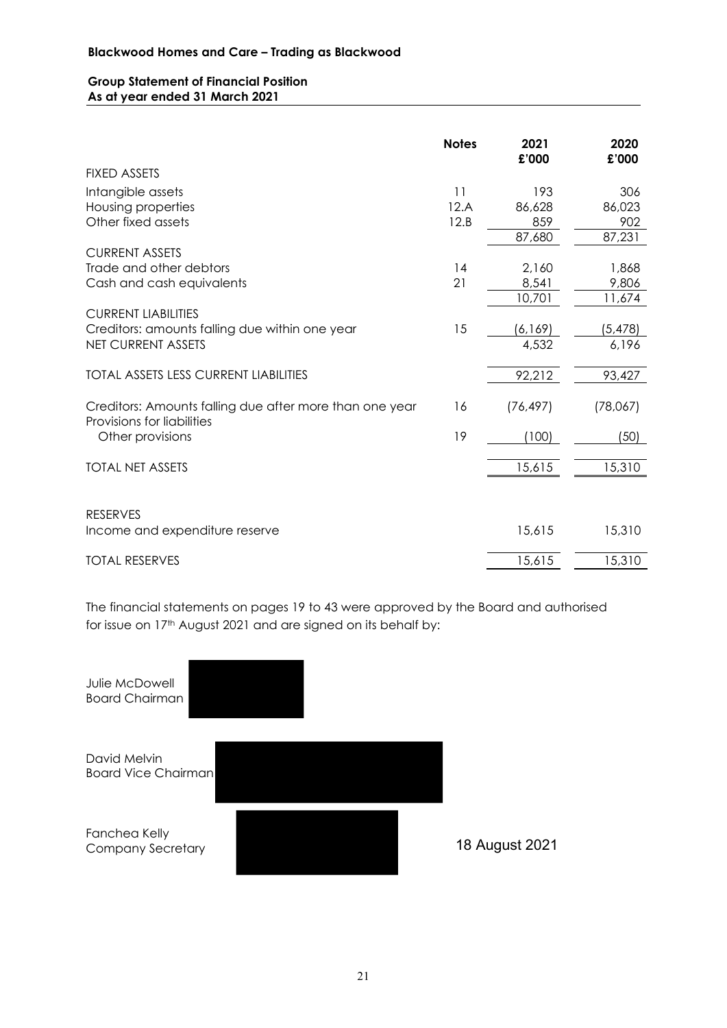### **Group Statement of Financial Position As at year ended 31 March 2021**

| <b>FIXED ASSETS</b><br>Intangible assets<br>11<br>306<br>193<br>86,023<br>Housing properties<br>12.A<br>86,628<br>Other fixed assets<br>12.B<br>859<br>902<br>87,231<br>87,680<br><b>CURRENT ASSETS</b><br>Trade and other debtors<br>2,160<br>14<br>1,868<br>21<br>8,541<br>9,806<br>Cash and cash equivalents<br>10,701<br>11,674<br><b>CURRENT LIABILITIES</b><br>15<br>Creditors: amounts falling due within one year<br>(6,169)<br>(5, 478)<br><b>NET CURRENT ASSETS</b><br>4,532<br>6,196<br>92,212<br><b>TOTAL ASSETS LESS CURRENT LIABILITIES</b><br>93,427<br>Creditors: Amounts falling due after more than one year<br>16<br>(78,067)<br>(76, 497)<br>Provisions for liabilities<br>19<br>(100)<br>(50)<br>Other provisions<br>15,310<br>15,615<br><b>TOTAL NET ASSETS</b><br><b>RESERVES</b><br>15,615<br>15,310<br>Income and expenditure reserve<br>15,615<br>15,310<br><b>TOTAL RESERVES</b> | <b>Notes</b> | 2021<br>£'000 | 2020<br>£'000 |
|-------------------------------------------------------------------------------------------------------------------------------------------------------------------------------------------------------------------------------------------------------------------------------------------------------------------------------------------------------------------------------------------------------------------------------------------------------------------------------------------------------------------------------------------------------------------------------------------------------------------------------------------------------------------------------------------------------------------------------------------------------------------------------------------------------------------------------------------------------------------------------------------------------------|--------------|---------------|---------------|
|                                                                                                                                                                                                                                                                                                                                                                                                                                                                                                                                                                                                                                                                                                                                                                                                                                                                                                             |              |               |               |
|                                                                                                                                                                                                                                                                                                                                                                                                                                                                                                                                                                                                                                                                                                                                                                                                                                                                                                             |              |               |               |
|                                                                                                                                                                                                                                                                                                                                                                                                                                                                                                                                                                                                                                                                                                                                                                                                                                                                                                             |              |               |               |
|                                                                                                                                                                                                                                                                                                                                                                                                                                                                                                                                                                                                                                                                                                                                                                                                                                                                                                             |              |               |               |
|                                                                                                                                                                                                                                                                                                                                                                                                                                                                                                                                                                                                                                                                                                                                                                                                                                                                                                             |              |               |               |
|                                                                                                                                                                                                                                                                                                                                                                                                                                                                                                                                                                                                                                                                                                                                                                                                                                                                                                             |              |               |               |
|                                                                                                                                                                                                                                                                                                                                                                                                                                                                                                                                                                                                                                                                                                                                                                                                                                                                                                             |              |               |               |
|                                                                                                                                                                                                                                                                                                                                                                                                                                                                                                                                                                                                                                                                                                                                                                                                                                                                                                             |              |               |               |
|                                                                                                                                                                                                                                                                                                                                                                                                                                                                                                                                                                                                                                                                                                                                                                                                                                                                                                             |              |               |               |
|                                                                                                                                                                                                                                                                                                                                                                                                                                                                                                                                                                                                                                                                                                                                                                                                                                                                                                             |              |               |               |
|                                                                                                                                                                                                                                                                                                                                                                                                                                                                                                                                                                                                                                                                                                                                                                                                                                                                                                             |              |               |               |
|                                                                                                                                                                                                                                                                                                                                                                                                                                                                                                                                                                                                                                                                                                                                                                                                                                                                                                             |              |               |               |
|                                                                                                                                                                                                                                                                                                                                                                                                                                                                                                                                                                                                                                                                                                                                                                                                                                                                                                             |              |               |               |
|                                                                                                                                                                                                                                                                                                                                                                                                                                                                                                                                                                                                                                                                                                                                                                                                                                                                                                             |              |               |               |
|                                                                                                                                                                                                                                                                                                                                                                                                                                                                                                                                                                                                                                                                                                                                                                                                                                                                                                             |              |               |               |
|                                                                                                                                                                                                                                                                                                                                                                                                                                                                                                                                                                                                                                                                                                                                                                                                                                                                                                             |              |               |               |
|                                                                                                                                                                                                                                                                                                                                                                                                                                                                                                                                                                                                                                                                                                                                                                                                                                                                                                             |              |               |               |
|                                                                                                                                                                                                                                                                                                                                                                                                                                                                                                                                                                                                                                                                                                                                                                                                                                                                                                             |              |               |               |
|                                                                                                                                                                                                                                                                                                                                                                                                                                                                                                                                                                                                                                                                                                                                                                                                                                                                                                             |              |               |               |
|                                                                                                                                                                                                                                                                                                                                                                                                                                                                                                                                                                                                                                                                                                                                                                                                                                                                                                             |              |               |               |
|                                                                                                                                                                                                                                                                                                                                                                                                                                                                                                                                                                                                                                                                                                                                                                                                                                                                                                             |              |               |               |
|                                                                                                                                                                                                                                                                                                                                                                                                                                                                                                                                                                                                                                                                                                                                                                                                                                                                                                             |              |               |               |

The financial statements on pages 19 to 43 were approved by the Board and authorised for issue on 17<sup>th</sup> August 2021 and are signed on its behalf by:

Julie McDowell Board Chairman David Melvin Board Vice Chairman Fanchea Kelly Company Secretary 18 August 2021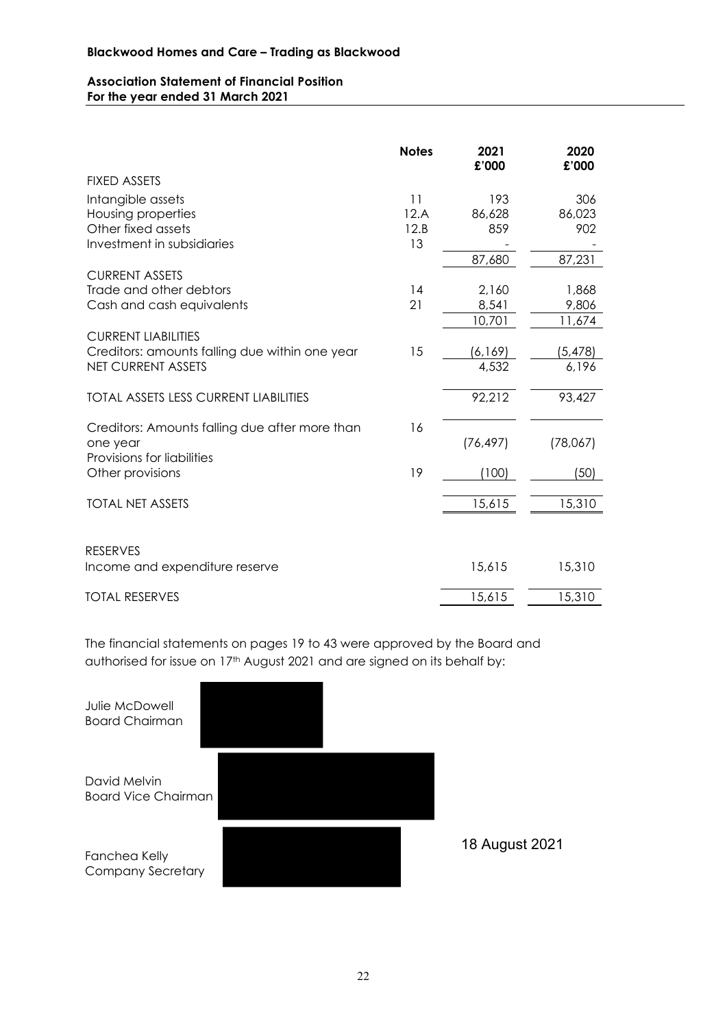# **Association Statement of Financial Position For the year ended 31 March 2021**

|                                                            | <b>Notes</b> | 2021<br>£'000 | 2020<br>£'000 |
|------------------------------------------------------------|--------------|---------------|---------------|
| <b>FIXED ASSETS</b>                                        |              |               |               |
| Intangible assets                                          | 11           | 193           | 306           |
| Housing properties                                         | 12.A         | 86,628        | 86,023        |
| Other fixed assets                                         | 12.B         | 859           | 902           |
| Investment in subsidiaries                                 | 13           |               |               |
| <b>CURRENT ASSETS</b>                                      |              | 87,680        | 87,231        |
| Trade and other debtors                                    | 14           | 2,160         | 1,868         |
| Cash and cash equivalents                                  | 21           | 8,541         | 9,806         |
|                                                            |              | 10,701        | 11,674        |
| <b>CURRENT LIABILITIES</b>                                 |              |               |               |
| Creditors: amounts falling due within one year             | 15           | (6, 169)      | (5, 478)      |
| <b>NET CURRENT ASSETS</b>                                  |              | 4,532         | 6,196         |
| <b>TOTAL ASSETS LESS CURRENT LIABILITIES</b>               |              | 92,212        | 93,427        |
| Creditors: Amounts falling due after more than<br>one year | 16           | (76, 497)     | (78,067)      |
| Provisions for liabilities                                 |              |               |               |
| Other provisions                                           | 19           | (100)         | (50)          |
| <b>TOTAL NET ASSETS</b>                                    |              | 15,615        | 15,310        |
|                                                            |              |               |               |
| <b>RESERVES</b>                                            |              |               |               |
| Income and expenditure reserve                             |              | 15,615        | 15,310        |
| <b>TOTAL RESERVES</b>                                      |              | 15,615        | 15,310        |

The financial statements on pages 19 to 43 were approved by the Board and authorised for issue on 17<sup>th</sup> August 2021 and are signed on its behalf by:

| Julie McDowell<br><b>Board Chairman</b>    |  |  |
|--------------------------------------------|--|--|
| David Melvin<br><b>Board Vice Chairman</b> |  |  |
| Fanchea Kelly<br><b>Company Secretary</b>  |  |  |

18 August 2021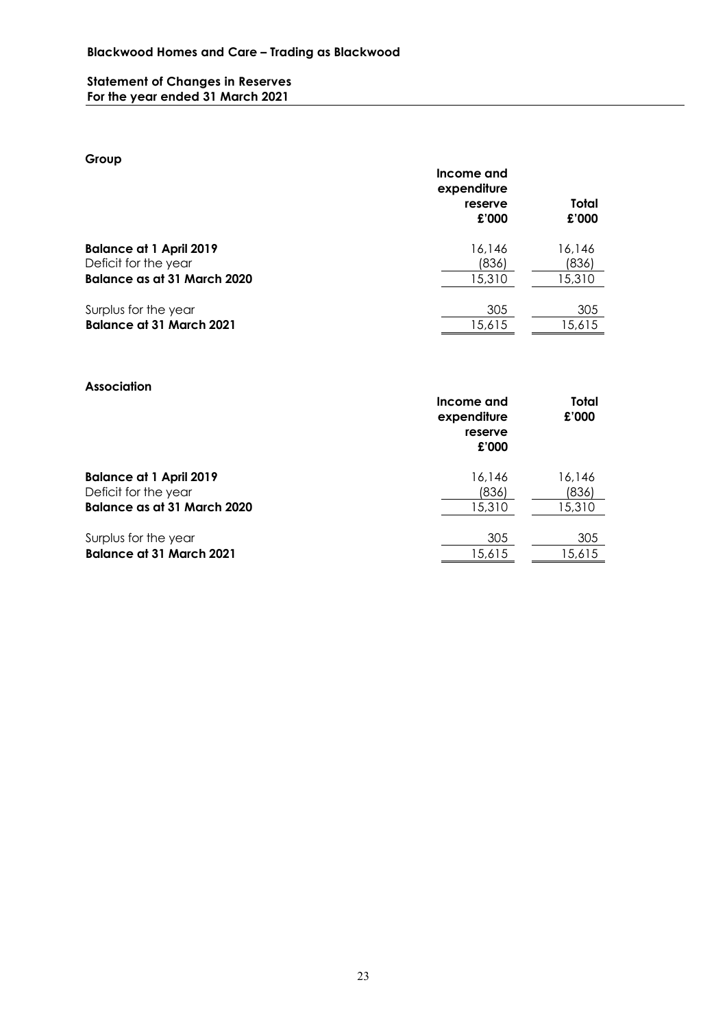# **Statement of Changes in Reserves For the year ended 31 March 2021**

# **Group**

|                                 | Income and<br>expenditure<br>reserve<br>£'000 | Total<br>£'000 |
|---------------------------------|-----------------------------------------------|----------------|
| <b>Balance at 1 April 2019</b>  | 16,146                                        | 16,146         |
| Deficit for the year            | (836)                                         | (836)          |
| Balance as at 31 March 2020     | 15,310                                        | 15,310         |
| Surplus for the year            | 305                                           | 305            |
| <b>Balance at 31 March 2021</b> | 15,615                                        | 15,615         |
|                                 |                                               |                |

# **Association**

|                                    | Income and<br>expenditure<br>reserve<br>£'000 | Total<br>£'000 |
|------------------------------------|-----------------------------------------------|----------------|
| <b>Balance at 1 April 2019</b>     | 16,146                                        | 16.146         |
| Deficit for the year               | (836)                                         | (836)          |
| <b>Balance as at 31 March 2020</b> | 15,310                                        | 15,310         |
| Surplus for the year               | 305                                           | 305            |
| <b>Balance at 31 March 2021</b>    | 15,615                                        | 15,615         |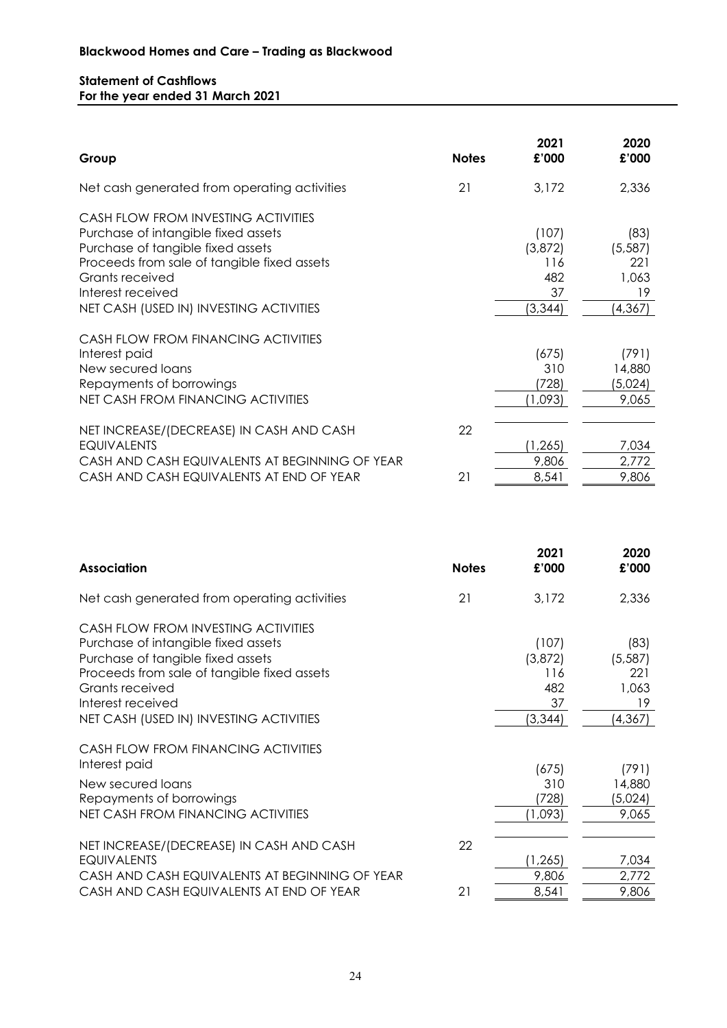# **Statement of Cashflows For the year ended 31 March 2021**

| Group                                                                                                                                                                                                                                             | <b>Notes</b> | 2021<br>£'000                                    | 2020<br>£'000                                      |
|---------------------------------------------------------------------------------------------------------------------------------------------------------------------------------------------------------------------------------------------------|--------------|--------------------------------------------------|----------------------------------------------------|
| Net cash generated from operating activities                                                                                                                                                                                                      | 21           | 3,172                                            | 2,336                                              |
| CASH FLOW FROM INVESTING ACTIVITIES<br>Purchase of intangible fixed assets<br>Purchase of tangible fixed assets<br>Proceeds from sale of tangible fixed assets<br>Grants received<br>Interest received<br>NET CASH (USED IN) INVESTING ACTIVITIES |              | (107)<br>(3,872)<br>116<br>482<br>37<br>(3, 344) | (83)<br>(5, 587)<br>221<br>1,063<br>19<br>(4, 367) |
| CASH FLOW FROM FINANCING ACTIVITIES<br>Interest paid<br>New secured loans<br>Repayments of borrowings<br>NET CASH FROM FINANCING ACTIVITIES                                                                                                       |              | (675)<br>310<br>(728)<br>(1,093)                 | (791)<br>14,880<br>(5,024)<br>9,065                |
| NET INCREASE/(DECREASE) IN CASH AND CASH<br><b>EQUIVALENTS</b><br>CASH AND CASH EQUIVALENTS AT BEGINNING OF YEAR<br>CASH AND CASH EQUIVALENTS AT END OF YEAR                                                                                      | 22<br>21     | (1, 265)<br>9,806<br>8,541                       | 7,034<br>2,772<br>9,806                            |

| <b>Association</b>                                                                                                                                                                                                                                | <b>Notes</b> | 2021<br>£'000                                    | 2020<br>£'000                                      |
|---------------------------------------------------------------------------------------------------------------------------------------------------------------------------------------------------------------------------------------------------|--------------|--------------------------------------------------|----------------------------------------------------|
| Net cash generated from operating activities                                                                                                                                                                                                      | 21           | 3,172                                            | 2,336                                              |
| CASH FLOW FROM INVESTING ACTIVITIES<br>Purchase of intangible fixed assets<br>Purchase of tangible fixed assets<br>Proceeds from sale of tangible fixed assets<br>Grants received<br>Interest received<br>NET CASH (USED IN) INVESTING ACTIVITIES |              | (107)<br>(3,872)<br>116<br>482<br>37<br>(3, 344) | (83)<br>(5, 587)<br>221<br>1,063<br>19<br>(4, 367) |
| CASH FLOW FROM FINANCING ACTIVITIES<br>Interest paid<br>New secured loans<br>Repayments of borrowings<br>NET CASH FROM FINANCING ACTIVITIES                                                                                                       |              | (675)<br>310<br>(728)<br>(1,093)                 | (791)<br>14,880<br>(5,024)<br>9,065                |
| NET INCREASE/(DECREASE) IN CASH AND CASH<br><b>EQUIVALENTS</b><br>CASH AND CASH EQUIVALENTS AT BEGINNING OF YEAR<br>CASH AND CASH EQUIVALENTS AT END OF YEAR                                                                                      | 22<br>21     | (1, 265)<br>9,806<br>8,541                       | 7,034<br>2,772<br>9,806                            |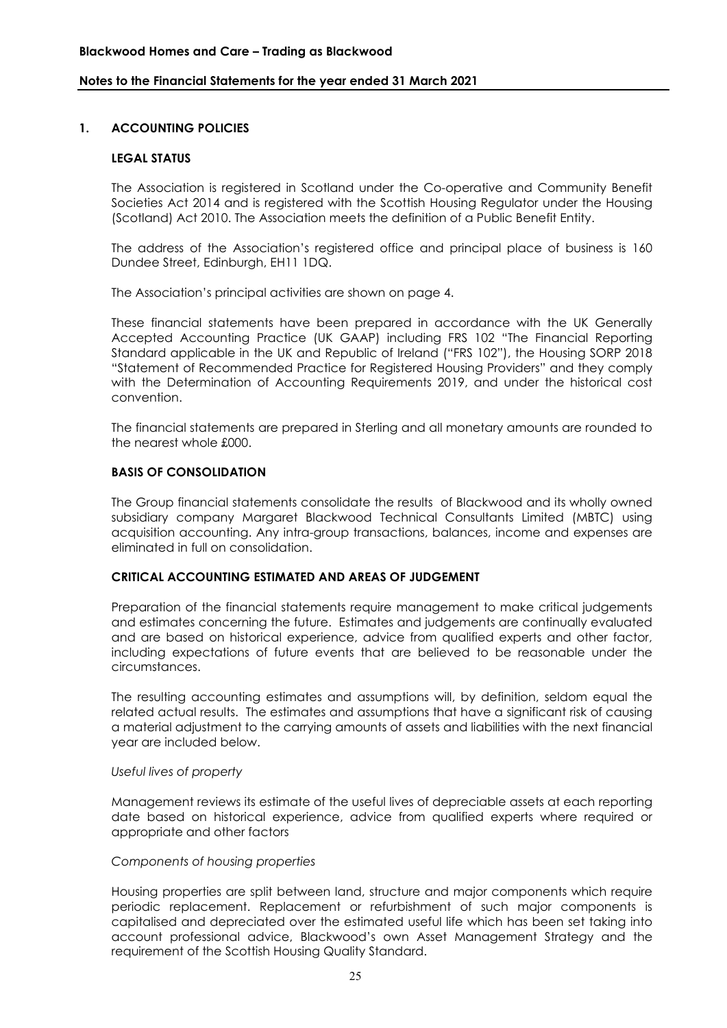## **1. ACCOUNTING POLICIES**

#### **LEGAL STATUS**

The Association is registered in Scotland under the Co-operative and Community Benefit Societies Act 2014 and is registered with the Scottish Housing Regulator under the Housing (Scotland) Act 2010. The Association meets the definition of a Public Benefit Entity.

The address of the Association's registered office and principal place of business is 160 Dundee Street, Edinburgh, EH11 1DQ.

The Association's principal activities are shown on page 4.

These financial statements have been prepared in accordance with the UK Generally Accepted Accounting Practice (UK GAAP) including FRS 102 "The Financial Reporting Standard applicable in the UK and Republic of Ireland ("FRS 102"), the Housing SORP 2018 "Statement of Recommended Practice for Registered Housing Providers" and they comply with the Determination of Accounting Requirements 2019, and under the historical cost convention.

The financial statements are prepared in Sterling and all monetary amounts are rounded to the nearest whole £000.

#### **BASIS OF CONSOLIDATION**

The Group financial statements consolidate the results of Blackwood and its wholly owned subsidiary company Margaret Blackwood Technical Consultants Limited (MBTC) using acquisition accounting. Any intra-group transactions, balances, income and expenses are eliminated in full on consolidation.

#### **CRITICAL ACCOUNTING ESTIMATED AND AREAS OF JUDGEMENT**

Preparation of the financial statements require management to make critical judgements and estimates concerning the future. Estimates and judgements are continually evaluated and are based on historical experience, advice from qualified experts and other factor, including expectations of future events that are believed to be reasonable under the circumstances.

The resulting accounting estimates and assumptions will, by definition, seldom equal the related actual results. The estimates and assumptions that have a significant risk of causing a material adjustment to the carrying amounts of assets and liabilities with the next financial year are included below.

#### *Useful lives of property*

Management reviews its estimate of the useful lives of depreciable assets at each reporting date based on historical experience, advice from qualified experts where required or appropriate and other factors

#### *Components of housing properties*

Housing properties are split between land, structure and major components which require periodic replacement. Replacement or refurbishment of such major components is capitalised and depreciated over the estimated useful life which has been set taking into account professional advice, Blackwood's own Asset Management Strategy and the requirement of the Scottish Housing Quality Standard.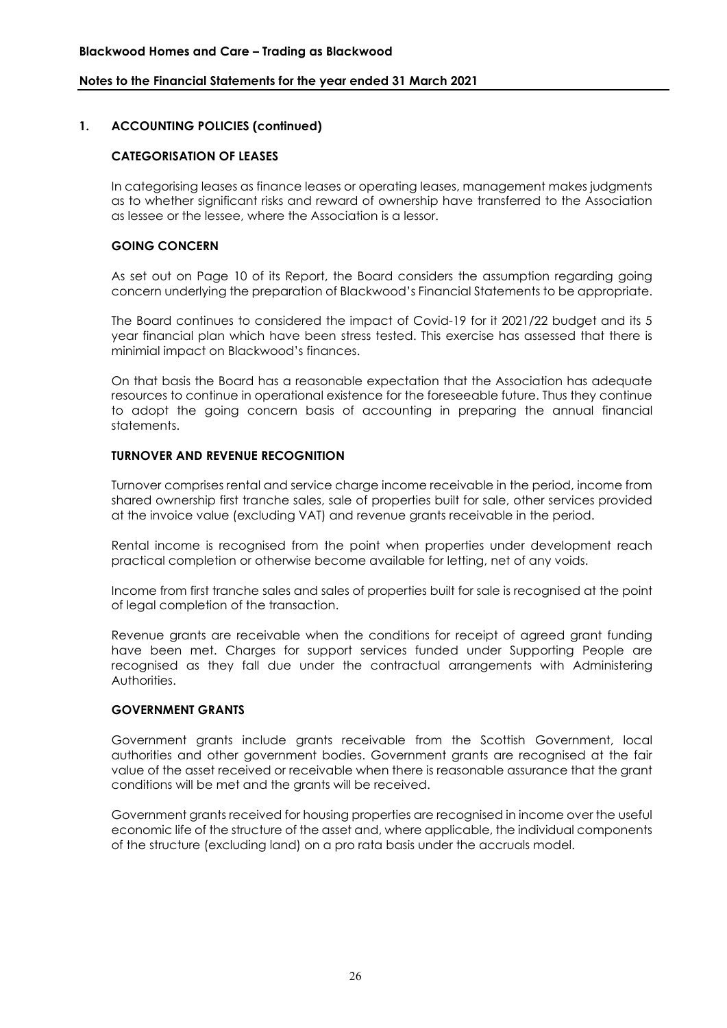## **1. ACCOUNTING POLICIES (continued)**

#### **CATEGORISATION OF LEASES**

In categorising leases as finance leases or operating leases, management makes judgments as to whether significant risks and reward of ownership have transferred to the Association as lessee or the lessee, where the Association is a lessor.

#### **GOING CONCERN**

As set out on Page 10 of its Report, the Board considers the assumption regarding going concern underlying the preparation of Blackwood's Financial Statements to be appropriate.

The Board continues to considered the impact of Covid-19 for it 2021/22 budget and its 5 year financial plan which have been stress tested. This exercise has assessed that there is minimial impact on Blackwood's finances.

On that basis the Board has a reasonable expectation that the Association has adequate resources to continue in operational existence for the foreseeable future. Thus they continue to adopt the going concern basis of accounting in preparing the annual financial statements.

#### **TURNOVER AND REVENUE RECOGNITION**

Turnover comprises rental and service charge income receivable in the period, income from shared ownership first tranche sales, sale of properties built for sale, other services provided at the invoice value (excluding VAT) and revenue grants receivable in the period.

Rental income is recognised from the point when properties under development reach practical completion or otherwise become available for letting, net of any voids.

Income from first tranche sales and sales of properties built for sale is recognised at the point of legal completion of the transaction.

Revenue grants are receivable when the conditions for receipt of agreed grant funding have been met. Charges for support services funded under Supporting People are recognised as they fall due under the contractual arrangements with Administering Authorities.

#### **GOVERNMENT GRANTS**

Government grants include grants receivable from the Scottish Government, local authorities and other government bodies. Government grants are recognised at the fair value of the asset received or receivable when there is reasonable assurance that the grant conditions will be met and the grants will be received.

Government grants received for housing properties are recognised in income over the useful economic life of the structure of the asset and, where applicable, the individual components of the structure (excluding land) on a pro rata basis under the accruals model.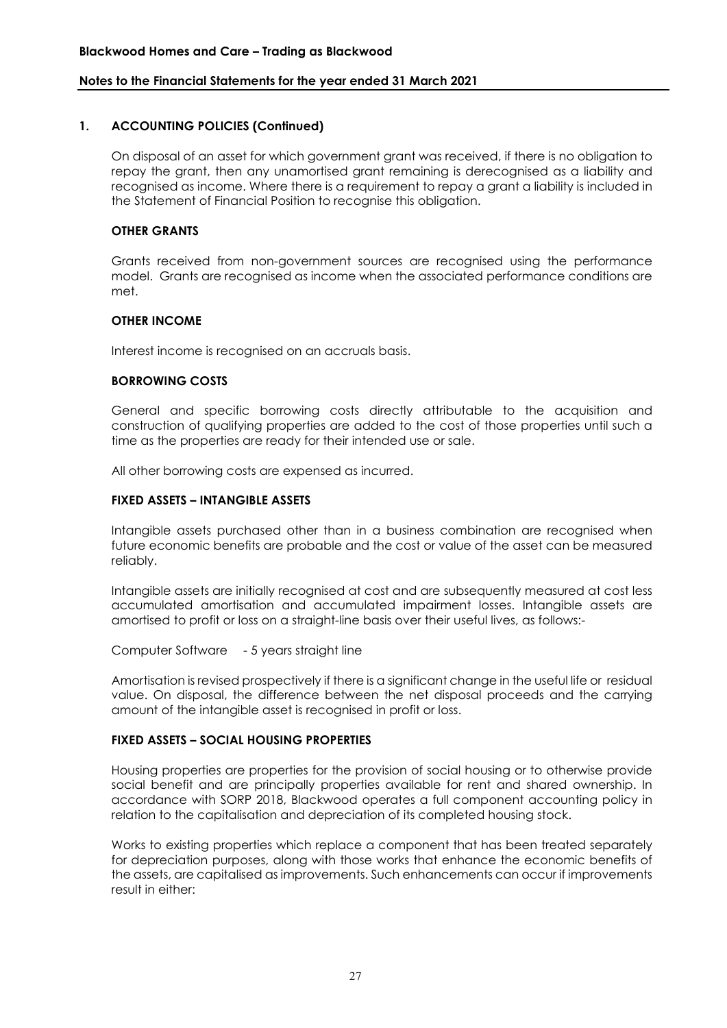# **1. ACCOUNTING POLICIES (Continued)**

On disposal of an asset for which government grant was received, if there is no obligation to repay the grant, then any unamortised grant remaining is derecognised as a liability and recognised as income. Where there is a requirement to repay a grant a liability is included in the Statement of Financial Position to recognise this obligation.

#### **OTHER GRANTS**

Grants received from non-government sources are recognised using the performance model. Grants are recognised as income when the associated performance conditions are met.

# **OTHER INCOME**

Interest income is recognised on an accruals basis.

#### **BORROWING COSTS**

General and specific borrowing costs directly attributable to the acquisition and construction of qualifying properties are added to the cost of those properties until such a time as the properties are ready for their intended use or sale.

All other borrowing costs are expensed as incurred.

# **FIXED ASSETS – INTANGIBLE ASSETS**

Intangible assets purchased other than in a business combination are recognised when future economic benefits are probable and the cost or value of the asset can be measured reliably.

Intangible assets are initially recognised at cost and are subsequently measured at cost less accumulated amortisation and accumulated impairment losses. Intangible assets are amortised to profit or loss on a straight-line basis over their useful lives, as follows:-

Computer Software - 5 years straight line

Amortisation is revised prospectively if there is a significant change in the useful life or residual value. On disposal, the difference between the net disposal proceeds and the carrying amount of the intangible asset is recognised in profit or loss.

#### **FIXED ASSETS – SOCIAL HOUSING PROPERTIES**

Housing properties are properties for the provision of social housing or to otherwise provide social benefit and are principally properties available for rent and shared ownership. In accordance with SORP 2018, Blackwood operates a full component accounting policy in relation to the capitalisation and depreciation of its completed housing stock.

Works to existing properties which replace a component that has been treated separately for depreciation purposes, along with those works that enhance the economic benefits of the assets, are capitalised as improvements. Such enhancements can occur if improvements result in either: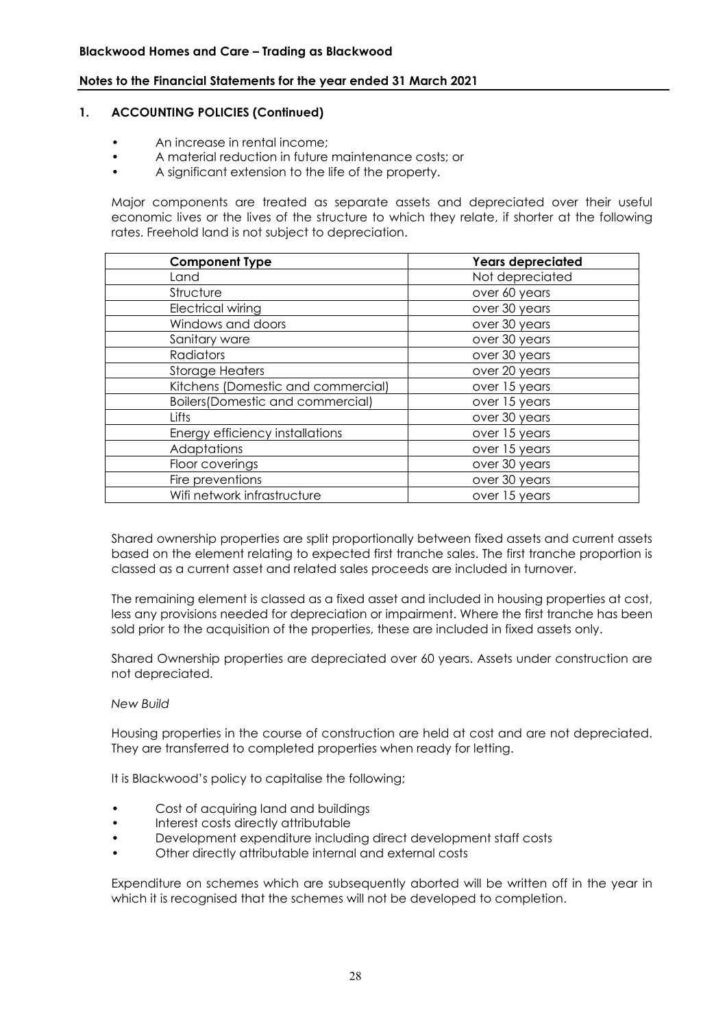#### **1. ACCOUNTING POLICIES (Continued)**

- An increase in rental income;
- A material reduction in future maintenance costs; or
- A significant extension to the life of the property.

Major components are treated as separate assets and depreciated over their useful economic lives or the lives of the structure to which they relate, if shorter at the following rates. Freehold land is not subject to depreciation.

| <b>Component Type</b>                    | <b>Years depreciated</b> |
|------------------------------------------|--------------------------|
| Land                                     | Not depreciated          |
| Structure                                | over 60 years            |
| <b>Electrical wiring</b>                 | over 30 years            |
| Windows and doors                        | over 30 years            |
| Sanitary ware                            | over 30 years            |
| Radiators                                | over 30 years            |
| <b>Storage Heaters</b>                   | over 20 years            |
| Kitchens (Domestic and commercial)       | over 15 years            |
| <b>Boilers (Domestic and commercial)</b> | over 15 years            |
| Lifts                                    | over 30 years            |
| Energy efficiency installations          | over 15 years            |
| Adaptations                              | over 15 years            |
| Floor coverings                          | over 30 years            |
| Fire preventions                         | over 30 years            |
| Wifi network infrastructure              | over 15 years            |

Shared ownership properties are split proportionally between fixed assets and current assets based on the element relating to expected first tranche sales. The first tranche proportion is classed as a current asset and related sales proceeds are included in turnover.

The remaining element is classed as a fixed asset and included in housing properties at cost, less any provisions needed for depreciation or impairment. Where the first tranche has been sold prior to the acquisition of the properties, these are included in fixed assets only.

Shared Ownership properties are depreciated over 60 years. Assets under construction are not depreciated.

#### *New Build*

Housing properties in the course of construction are held at cost and are not depreciated. They are transferred to completed properties when ready for letting.

It is Blackwood's policy to capitalise the following;

- Cost of acquiring land and buildings
- Interest costs directly attributable
- Development expenditure including direct development staff costs
- Other directly attributable internal and external costs

Expenditure on schemes which are subsequently aborted will be written off in the year in which it is recognised that the schemes will not be developed to completion.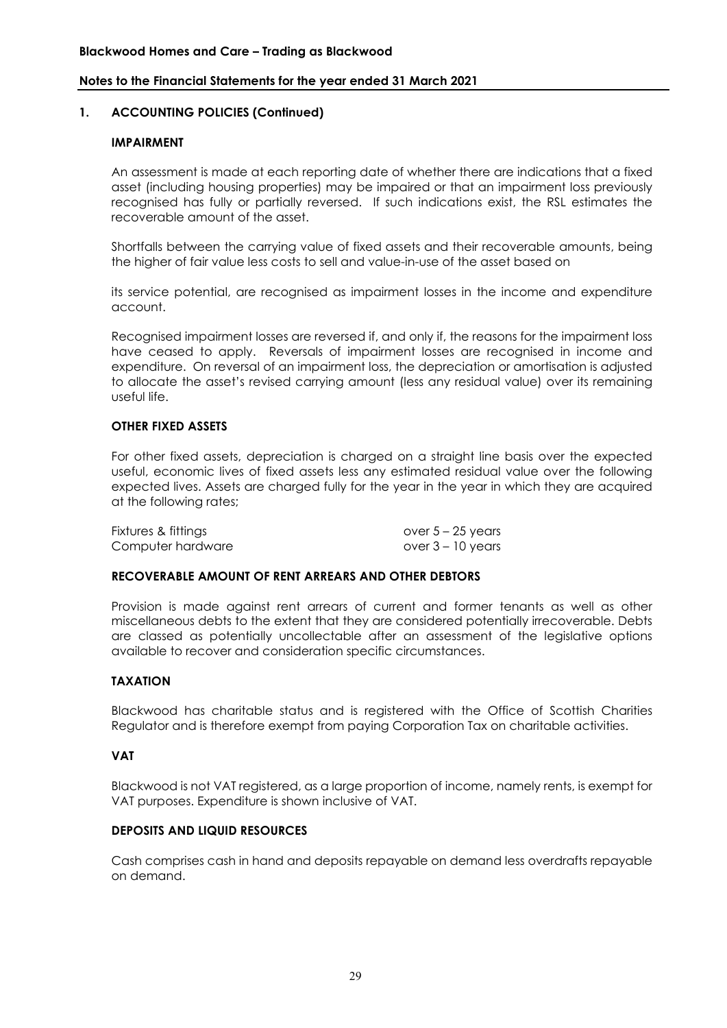#### **1. ACCOUNTING POLICIES (Continued)**

#### **IMPAIRMENT**

An assessment is made at each reporting date of whether there are indications that a fixed asset (including housing properties) may be impaired or that an impairment loss previously recognised has fully or partially reversed. If such indications exist, the RSL estimates the recoverable amount of the asset.

Shortfalls between the carrying value of fixed assets and their recoverable amounts, being the higher of fair value less costs to sell and value-in-use of the asset based on

its service potential, are recognised as impairment losses in the income and expenditure account.

Recognised impairment losses are reversed if, and only if, the reasons for the impairment loss have ceased to apply. Reversals of impairment losses are recognised in income and expenditure. On reversal of an impairment loss, the depreciation or amortisation is adjusted to allocate the asset's revised carrying amount (less any residual value) over its remaining useful life.

#### **OTHER FIXED ASSETS**

For other fixed assets, depreciation is charged on a straight line basis over the expected useful, economic lives of fixed assets less any estimated residual value over the following expected lives. Assets are charged fully for the year in the year in which they are acquired at the following rates;

| Fixtures & fittings | over $5 - 25$ years |
|---------------------|---------------------|
| Computer hardware   | over 3 – 10 years   |

#### **RECOVERABLE AMOUNT OF RENT ARREARS AND OTHER DEBTORS**

Provision is made against rent arrears of current and former tenants as well as other miscellaneous debts to the extent that they are considered potentially irrecoverable. Debts are classed as potentially uncollectable after an assessment of the legislative options available to recover and consideration specific circumstances.

#### **TAXATION**

Blackwood has charitable status and is registered with the Office of Scottish Charities Regulator and is therefore exempt from paying Corporation Tax on charitable activities.

#### **VAT**

Blackwood is not VAT registered, as a large proportion of income, namely rents, is exempt for VAT purposes. Expenditure is shown inclusive of VAT.

#### **DEPOSITS AND LIQUID RESOURCES**

Cash comprises cash in hand and deposits repayable on demand less overdrafts repayable on demand.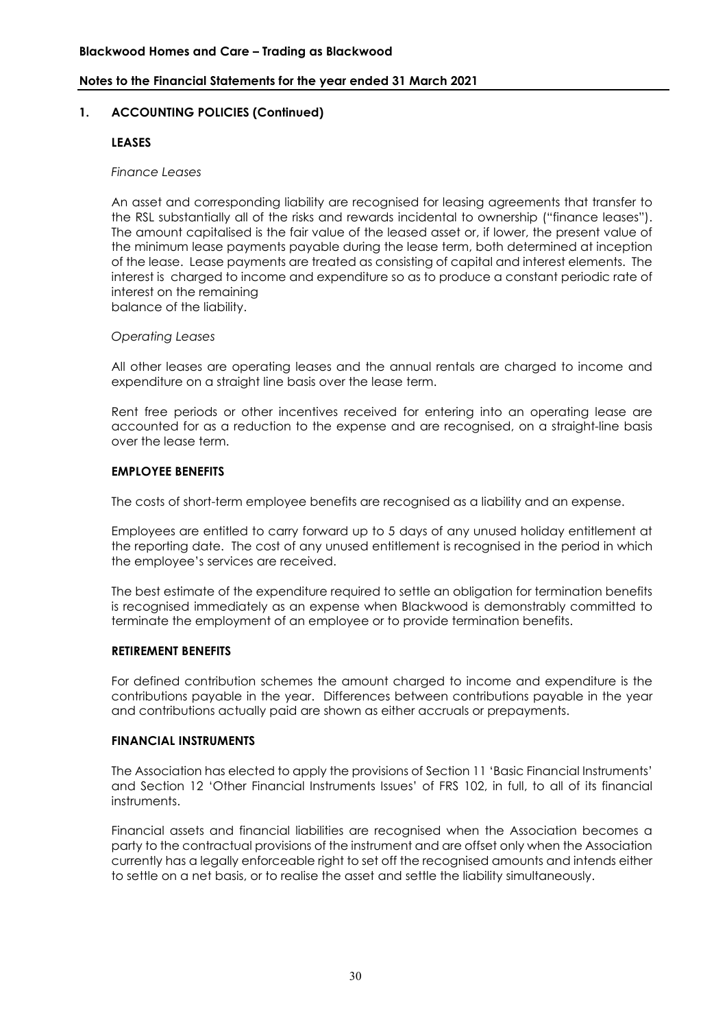#### **1. ACCOUNTING POLICIES (Continued)**

#### **LEASES**

#### *Finance Leases*

An asset and corresponding liability are recognised for leasing agreements that transfer to the RSL substantially all of the risks and rewards incidental to ownership ("finance leases"). The amount capitalised is the fair value of the leased asset or, if lower, the present value of the minimum lease payments payable during the lease term, both determined at inception of the lease. Lease payments are treated as consisting of capital and interest elements. The interest is charged to income and expenditure so as to produce a constant periodic rate of interest on the remaining

balance of the liability.

#### *Operating Leases*

All other leases are operating leases and the annual rentals are charged to income and expenditure on a straight line basis over the lease term.

Rent free periods or other incentives received for entering into an operating lease are accounted for as a reduction to the expense and are recognised, on a straight-line basis over the lease term.

#### **EMPLOYEE BENEFITS**

The costs of short-term employee benefits are recognised as a liability and an expense.

Employees are entitled to carry forward up to 5 days of any unused holiday entitlement at the reporting date. The cost of any unused entitlement is recognised in the period in which the employee's services are received.

The best estimate of the expenditure required to settle an obligation for termination benefits is recognised immediately as an expense when Blackwood is demonstrably committed to terminate the employment of an employee or to provide termination benefits.

#### **RETIREMENT BENEFITS**

For defined contribution schemes the amount charged to income and expenditure is the contributions payable in the year. Differences between contributions payable in the year and contributions actually paid are shown as either accruals or prepayments.

#### **FINANCIAL INSTRUMENTS**

The Association has elected to apply the provisions of Section 11 'Basic Financial Instruments' and Section 12 'Other Financial Instruments Issues' of FRS 102, in full, to all of its financial instruments.

Financial assets and financial liabilities are recognised when the Association becomes a party to the contractual provisions of the instrument and are offset only when the Association currently has a legally enforceable right to set off the recognised amounts and intends either to settle on a net basis, or to realise the asset and settle the liability simultaneously.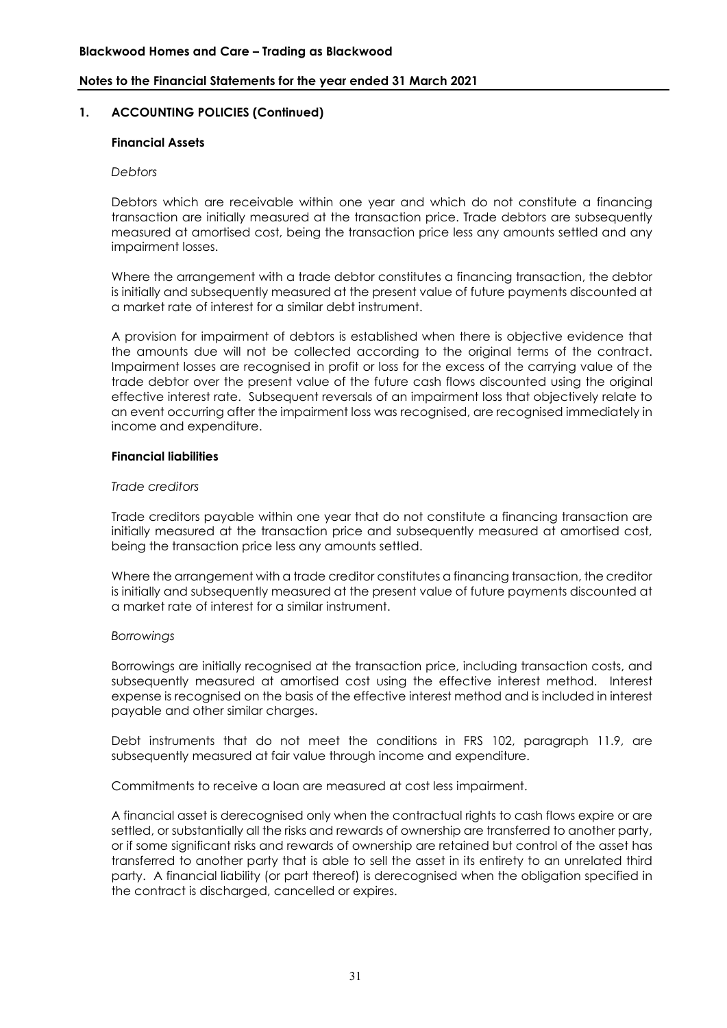#### **Blackwood Homes and Care – Trading as Blackwood**

#### **Notes to the Financial Statements for the year ended 31 March 2021**

#### **1. ACCOUNTING POLICIES (Continued)**

#### **Financial Assets**

#### *Debtors*

Debtors which are receivable within one year and which do not constitute a financing transaction are initially measured at the transaction price. Trade debtors are subsequently measured at amortised cost, being the transaction price less any amounts settled and any impairment losses.

Where the arrangement with a trade debtor constitutes a financing transaction, the debtor is initially and subsequently measured at the present value of future payments discounted at a market rate of interest for a similar debt instrument.

A provision for impairment of debtors is established when there is objective evidence that the amounts due will not be collected according to the original terms of the contract. Impairment losses are recognised in profit or loss for the excess of the carrying value of the trade debtor over the present value of the future cash flows discounted using the original effective interest rate. Subsequent reversals of an impairment loss that objectively relate to an event occurring after the impairment loss was recognised, are recognised immediately in income and expenditure.

#### **Financial liabilities**

#### *Trade creditors*

Trade creditors payable within one year that do not constitute a financing transaction are initially measured at the transaction price and subsequently measured at amortised cost, being the transaction price less any amounts settled.

Where the arrangement with a trade creditor constitutes a financing transaction, the creditor is initially and subsequently measured at the present value of future payments discounted at a market rate of interest for a similar instrument.

#### *Borrowings*

Borrowings are initially recognised at the transaction price, including transaction costs, and subsequently measured at amortised cost using the effective interest method. Interest expense is recognised on the basis of the effective interest method and is included in interest payable and other similar charges.

Debt instruments that do not meet the conditions in FRS 102, paragraph 11.9, are subsequently measured at fair value through income and expenditure.

Commitments to receive a loan are measured at cost less impairment.

A financial asset is derecognised only when the contractual rights to cash flows expire or are settled, or substantially all the risks and rewards of ownership are transferred to another party, or if some significant risks and rewards of ownership are retained but control of the asset has transferred to another party that is able to sell the asset in its entirety to an unrelated third party. A financial liability (or part thereof) is derecognised when the obligation specified in the contract is discharged, cancelled or expires.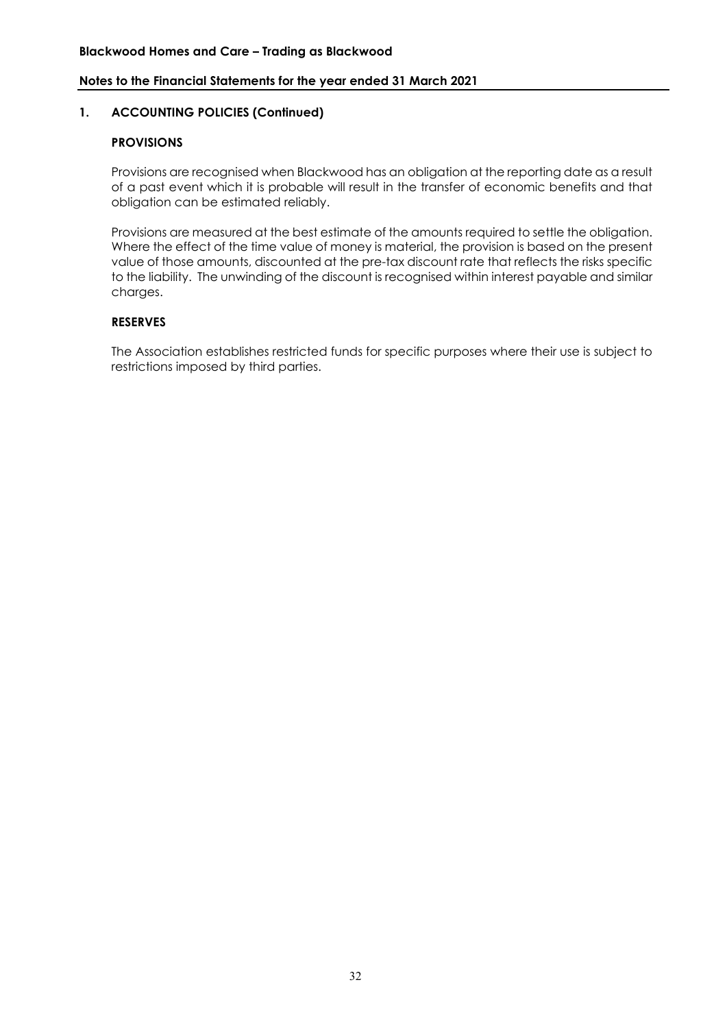#### **1. ACCOUNTING POLICIES (Continued)**

# **PROVISIONS**

Provisions are recognised when Blackwood has an obligation at the reporting date as a result of a past event which it is probable will result in the transfer of economic benefits and that obligation can be estimated reliably.

Provisions are measured at the best estimate of the amounts required to settle the obligation. Where the effect of the time value of money is material, the provision is based on the present value of those amounts, discounted at the pre-tax discount rate that reflects the risks specific to the liability. The unwinding of the discount is recognised within interest payable and similar charges.

#### **RESERVES**

The Association establishes restricted funds for specific purposes where their use is subject to restrictions imposed by third parties.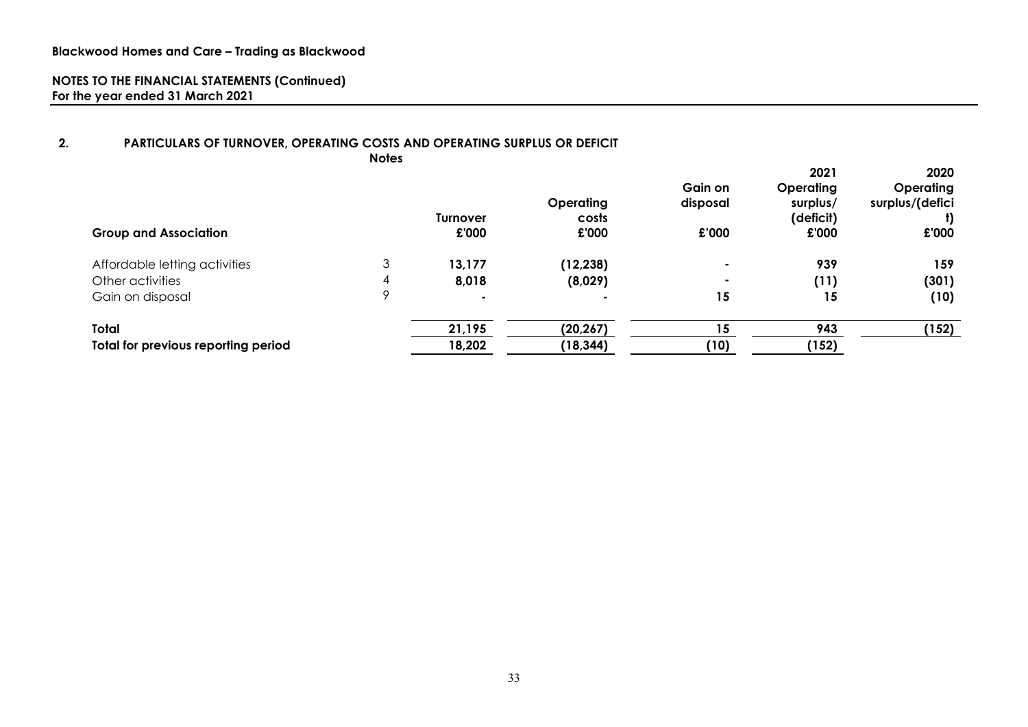#### **2. PARTICULARS OF TURNOVER, OPERATING COSTS AND OPERATING SURPLUS OR DEFICIT Notes**

| <b>Group and Association</b>        |        | <b>Turnover</b><br>£'000 | Operating<br>costs<br>£'000 | Gain on<br>disposal<br>£'000 | 2021<br>Operating<br>surplus/<br>(deficit)<br>£'000 | 2020<br><b>Operating</b><br>surplus/(defici<br>£'000 |
|-------------------------------------|--------|--------------------------|-----------------------------|------------------------------|-----------------------------------------------------|------------------------------------------------------|
| Affordable letting activities       | っ<br>ر | 13,177                   | (12, 238)                   | $\sim$                       | 939                                                 | 159                                                  |
| Other activities                    | 4      | 8,018                    | (8,029)                     | $\overline{\phantom{a}}$     | (11)                                                | (301)                                                |
| Gain on disposal                    | Q      |                          |                             | 15                           | 15                                                  | (10)                                                 |
| <b>Total</b>                        |        | 21,195                   | (20, 267)                   | 15                           | 943                                                 | (152)                                                |
| Total for previous reporting period |        | 18,202                   | (18,344)                    | (10)                         | (152)                                               |                                                      |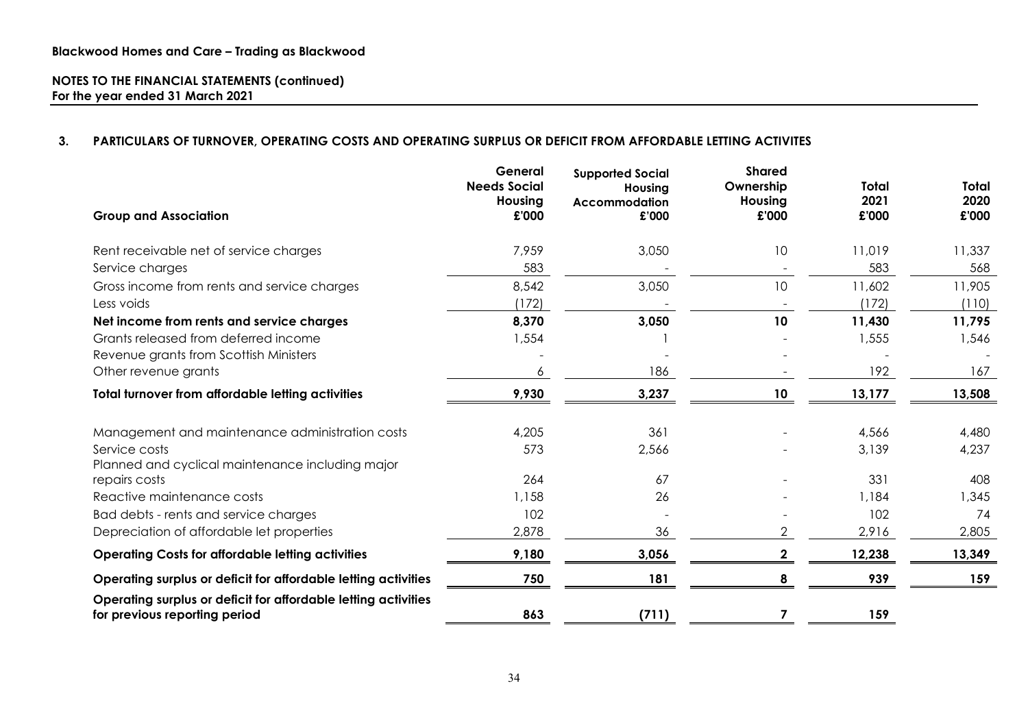# **3. PARTICULARS OF TURNOVER, OPERATING COSTS AND OPERATING SURPLUS OR DEFICIT FROM AFFORDABLE LETTING ACTIVITES**

|                                                                                                 | General<br><b>Needs Social</b><br>Housing | <b>Supported Social</b><br>Housing<br>Accommodation | <b>Shared</b><br>Ownership<br>Housing | Total<br>2021 | Total<br>2020 |
|-------------------------------------------------------------------------------------------------|-------------------------------------------|-----------------------------------------------------|---------------------------------------|---------------|---------------|
| <b>Group and Association</b>                                                                    | £'000                                     | £'000                                               | £'000                                 | £'000         | £'000         |
| Rent receivable net of service charges                                                          | 7,959                                     | 3,050                                               | 10 <sup>°</sup>                       | 11,019        | 11,337        |
| Service charges                                                                                 | 583                                       |                                                     |                                       | 583           | 568           |
| Gross income from rents and service charges                                                     | 8,542                                     | 3,050                                               | 10                                    | 11,602        | 11,905        |
| Less voids                                                                                      | (172)                                     |                                                     |                                       | (172)         | (110)         |
| Net income from rents and service charges                                                       | 8,370                                     | 3,050                                               | 10                                    | 11,430        | 11,795        |
| Grants released from deferred income                                                            | 1,554                                     |                                                     |                                       | 1,555         | 1,546         |
| Revenue grants from Scottish Ministers                                                          |                                           |                                                     |                                       |               |               |
| Other revenue grants                                                                            | 6                                         | 186                                                 |                                       | 192           | 167           |
| Total turnover from affordable letting activities                                               | 9,930                                     | 3,237                                               | 10                                    | 13,177        | 13,508        |
| Management and maintenance administration costs                                                 | 4,205                                     | 361                                                 |                                       | 4,566         | 4,480         |
| Service costs<br>Planned and cyclical maintenance including major                               | 573                                       | 2,566                                               |                                       | 3,139         | 4,237         |
| repairs costs                                                                                   | 264                                       | 67                                                  |                                       | 331           | 408           |
| Reactive maintenance costs                                                                      | 1,158                                     | 26                                                  |                                       | 1,184         | 1,345         |
| Bad debts - rents and service charges                                                           | 102                                       |                                                     |                                       | 102           | 74            |
| Depreciation of affordable let properties                                                       | 2,878                                     | 36                                                  | 2                                     | 2,916         | 2,805         |
| <b>Operating Costs for affordable letting activities</b>                                        | 9,180                                     | 3,056                                               | 2                                     | 12,238        | 13,349        |
| Operating surplus or deficit for affordable letting activities                                  | 750                                       | 181                                                 |                                       | 939           | 159           |
| Operating surplus or deficit for affordable letting activities<br>for previous reporting period | 863                                       | (711)                                               |                                       | 159           |               |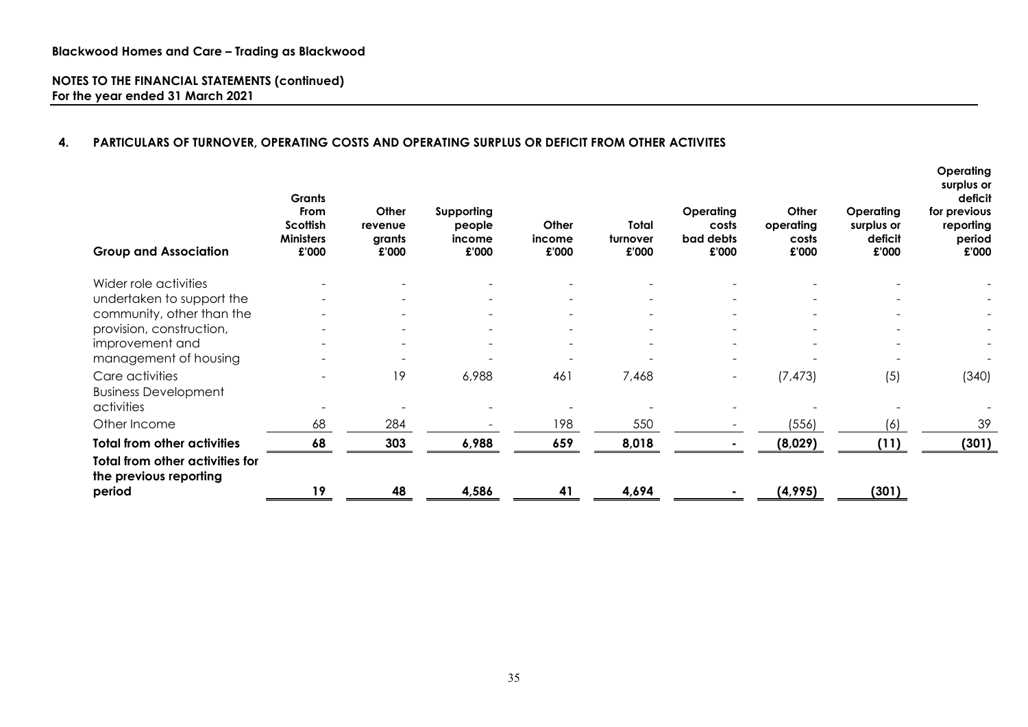# **4. PARTICULARS OF TURNOVER, OPERATING COSTS AND OPERATING SURPLUS OR DEFICIT FROM OTHER ACTIVITES**

| <b>Group and Association</b>                                     | <b>Grants</b><br><b>From</b><br>Scottish<br><b>Ministers</b><br>£'000 | Other<br>revenue<br>grants<br>£'000 | Supporting<br>people<br>income<br>£'000 | Other<br>income<br>£'000 | <b>Total</b><br>turnover<br>£'000 | Operating<br>costs<br>bad debts<br>£'000 | Other<br>operating<br>costs<br>£'000 | Operating<br>surplus or<br>deficit<br>£'000 | Operating<br>surplus or<br>deficit<br>for previous<br>reporting<br>period<br>£'000 |
|------------------------------------------------------------------|-----------------------------------------------------------------------|-------------------------------------|-----------------------------------------|--------------------------|-----------------------------------|------------------------------------------|--------------------------------------|---------------------------------------------|------------------------------------------------------------------------------------|
| Wider role activities                                            |                                                                       |                                     |                                         |                          |                                   |                                          |                                      |                                             |                                                                                    |
| undertaken to support the                                        |                                                                       |                                     |                                         |                          |                                   |                                          |                                      |                                             |                                                                                    |
| community, other than the                                        |                                                                       |                                     |                                         | $\overline{\phantom{a}}$ |                                   |                                          |                                      |                                             |                                                                                    |
| provision, construction,                                         |                                                                       | $\overline{\phantom{a}}$            | $\overline{\phantom{a}}$                | $\overline{\phantom{a}}$ |                                   |                                          | $\blacksquare$                       | $\overline{\phantom{a}}$                    |                                                                                    |
| improvement and                                                  |                                                                       |                                     |                                         |                          |                                   |                                          |                                      |                                             |                                                                                    |
| management of housing                                            |                                                                       |                                     |                                         |                          |                                   |                                          |                                      |                                             |                                                                                    |
| Care activities                                                  |                                                                       | 19                                  | 6,988                                   | 461                      | 7,468                             |                                          | (7, 473)                             | (5)                                         | (340)                                                                              |
| <b>Business Development</b>                                      |                                                                       |                                     |                                         |                          |                                   |                                          |                                      |                                             |                                                                                    |
| activities                                                       |                                                                       |                                     |                                         |                          |                                   |                                          |                                      |                                             |                                                                                    |
| Other Income                                                     | 68                                                                    | 284                                 |                                         | 198                      | 550                               |                                          | (556)                                | (6)                                         | 39                                                                                 |
| <b>Total from other activities</b>                               | 68                                                                    | 303                                 | 6,988                                   | 659                      | 8,018                             |                                          | (8,029)                              | (11)                                        | (301)                                                                              |
| <b>Total from other activities for</b><br>the previous reporting |                                                                       |                                     |                                         |                          |                                   |                                          |                                      |                                             |                                                                                    |
| period                                                           | 19                                                                    | 48                                  | 4,586                                   | 41                       | 4,694                             |                                          | (4,995)                              | (301)                                       |                                                                                    |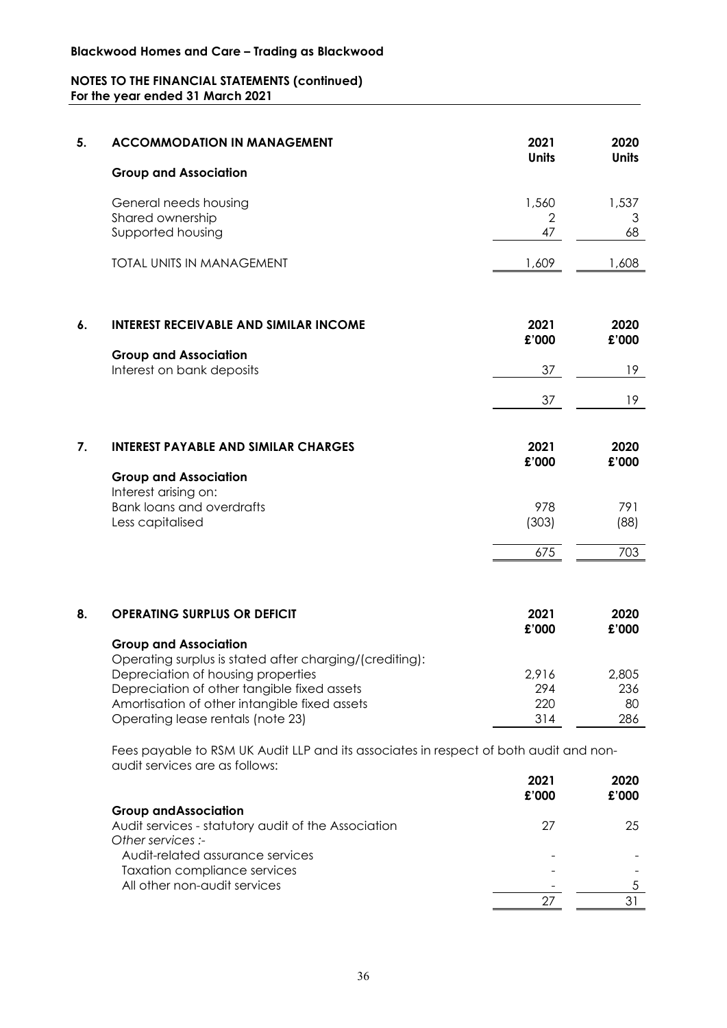# **Blackwood Homes and Care – Trading as Blackwood**

# **NOTES TO THE FINANCIAL STATEMENTS (continued) For the year ended 31 March 2021**

| 5. | <b>ACCOMMODATION IN MANAGEMENT</b>                                                                                                                                                                                                                                 | 2021<br><b>Units</b>          | 2020<br><b>Units</b>      |
|----|--------------------------------------------------------------------------------------------------------------------------------------------------------------------------------------------------------------------------------------------------------------------|-------------------------------|---------------------------|
|    | <b>Group and Association</b>                                                                                                                                                                                                                                       |                               |                           |
|    | General needs housing<br>Shared ownership<br>Supported housing                                                                                                                                                                                                     | 1,560<br>$\overline{2}$<br>47 | 1,537<br>3<br>68          |
|    | <b>TOTAL UNITS IN MANAGEMENT</b>                                                                                                                                                                                                                                   | 1,609                         | 1,608                     |
| 6. | <b>INTEREST RECEIVABLE AND SIMILAR INCOME</b><br><b>Group and Association</b>                                                                                                                                                                                      | 2021<br>£'000                 | 2020<br>£'000             |
|    | Interest on bank deposits                                                                                                                                                                                                                                          | 37                            | 19                        |
|    |                                                                                                                                                                                                                                                                    | 37                            | 19                        |
| 7. | <b>INTEREST PAYABLE AND SIMILAR CHARGES</b><br><b>Group and Association</b>                                                                                                                                                                                        | 2021<br>£'000                 | 2020<br>£'000             |
|    | Interest arising on:<br><b>Bank loans and overdrafts</b><br>Less capitalised                                                                                                                                                                                       | 978<br>(303)                  | 791<br>(88)               |
|    |                                                                                                                                                                                                                                                                    | 675                           | 703                       |
| 8. | <b>OPERATING SURPLUS OR DEFICIT</b>                                                                                                                                                                                                                                | 2021<br>£'000                 | 2020<br>£'000             |
|    | <b>Group and Association</b><br>Operating surplus is stated after charging/(crediting):<br>Depreciation of housing properties<br>Depreciation of other tangible fixed assets<br>Amortisation of other intangible fixed assets<br>Operating lease rentals (note 23) | 2,916<br>294<br>220<br>314    | 2,805<br>236<br>80<br>286 |
|    | Fees payable to RSM UK Audit LLP and its associates in respect of both audit and non-<br>qudit services are as follows:                                                                                                                                            |                               |                           |
|    |                                                                                                                                                                                                                                                                    | 2021<br>£'000                 | 2020<br>£'000             |
|    | <b>Group and Association</b><br>Audit services - statutory audit of the Association<br>Other services :-<br>Audit rolated accurance convices                                                                                                                       | 27                            | 25                        |

27 31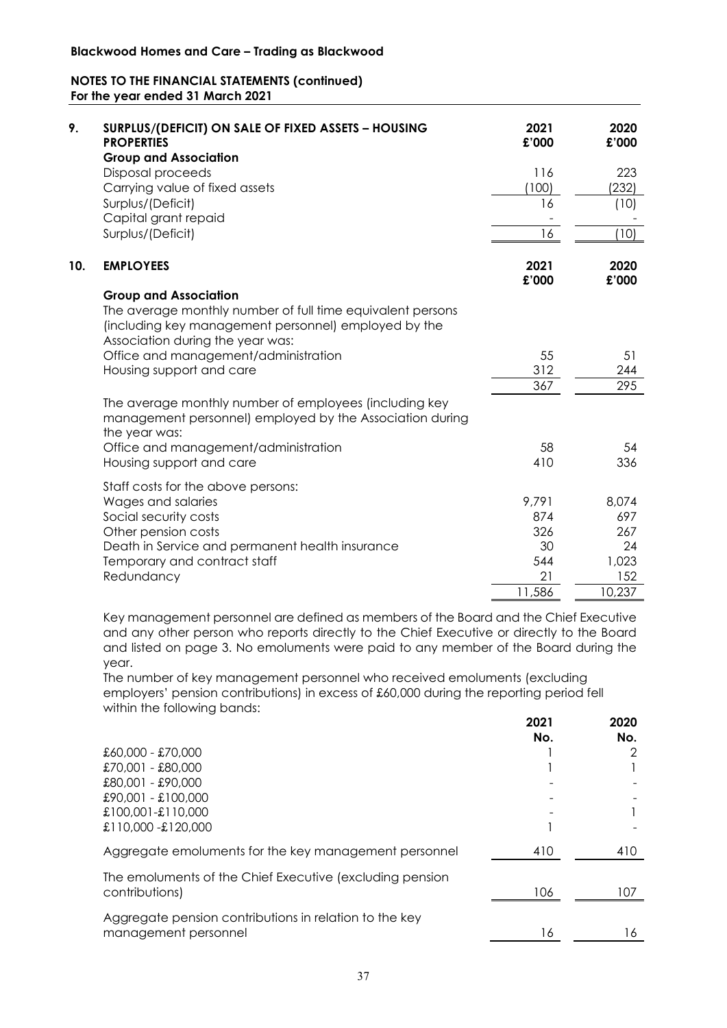| 9.  | SURPLUS/(DEFICIT) ON SALE OF FIXED ASSETS - HOUSING<br><b>PROPERTIES</b><br><b>Group and Association</b>                                                                               | 2021<br>£'000 | 2020<br>£'000 |
|-----|----------------------------------------------------------------------------------------------------------------------------------------------------------------------------------------|---------------|---------------|
|     | Disposal proceeds                                                                                                                                                                      | 116           | 223           |
|     | Carrying value of fixed assets                                                                                                                                                         | (100)         | 232)          |
|     | Surplus/(Deficit)<br>Capital grant repaid                                                                                                                                              | 16            | (10)          |
|     | Surplus/(Deficit)                                                                                                                                                                      | 16            | (10)          |
| 10. | <b>EMPLOYEES</b>                                                                                                                                                                       | 2021<br>£'000 | 2020<br>£'000 |
|     | <b>Group and Association</b><br>The average monthly number of full time equivalent persons<br>(including key management personnel) employed by the<br>Association during the year was: |               |               |
|     | Office and management/administration                                                                                                                                                   | 55            | 51            |
|     | Housing support and care                                                                                                                                                               | 312           | 244           |
|     |                                                                                                                                                                                        | 367           | 295           |
|     | The average monthly number of employees (including key<br>management personnel) employed by the Association during<br>the year was:                                                    |               |               |
|     | Office and management/administration                                                                                                                                                   | 58            | 54            |
|     | Housing support and care                                                                                                                                                               | 410           | 336           |
|     | Staff costs for the above persons:                                                                                                                                                     |               |               |
|     | Wages and salaries                                                                                                                                                                     | 9,791         | 8,074         |
|     | Social security costs                                                                                                                                                                  | 874           | 697           |
|     | Other pension costs                                                                                                                                                                    | 326           | 267           |
|     | Death in Service and permanent health insurance                                                                                                                                        | 30            | 24            |
|     | Temporary and contract staff                                                                                                                                                           | 544           | 1,023         |
|     | Redundancy                                                                                                                                                                             | 21            | 152           |
|     |                                                                                                                                                                                        | 11,586        | 10,237        |

Key management personnel are defined as members of the Board and the Chief Executive and any other person who reports directly to the Chief Executive or directly to the Board and listed on page 3. No emoluments were paid to any member of the Board during the year.

The number of key management personnel who received emoluments (excluding employers' pension contributions) in excess of £60,000 during the reporting period fell within the following bands:

|                                                          | 2021<br>No. | 2020<br>No. |
|----------------------------------------------------------|-------------|-------------|
| £60,000 - £70,000                                        |             |             |
| £70,001 - £80,000                                        |             |             |
| £80,001 - £90,000                                        |             |             |
| £90,001 - £100,000                                       |             |             |
| £100,001-£110,000                                        |             |             |
| £110,000 -£120,000                                       |             |             |
| Aggregate emoluments for the key management personnel    | 410         | 410         |
| The emoluments of the Chief Executive (excluding pension |             |             |
| contributions)                                           | 106         | 107         |
| Aggregate pension contributions in relation to the key   |             |             |
| management personnel                                     | 16          | l 6         |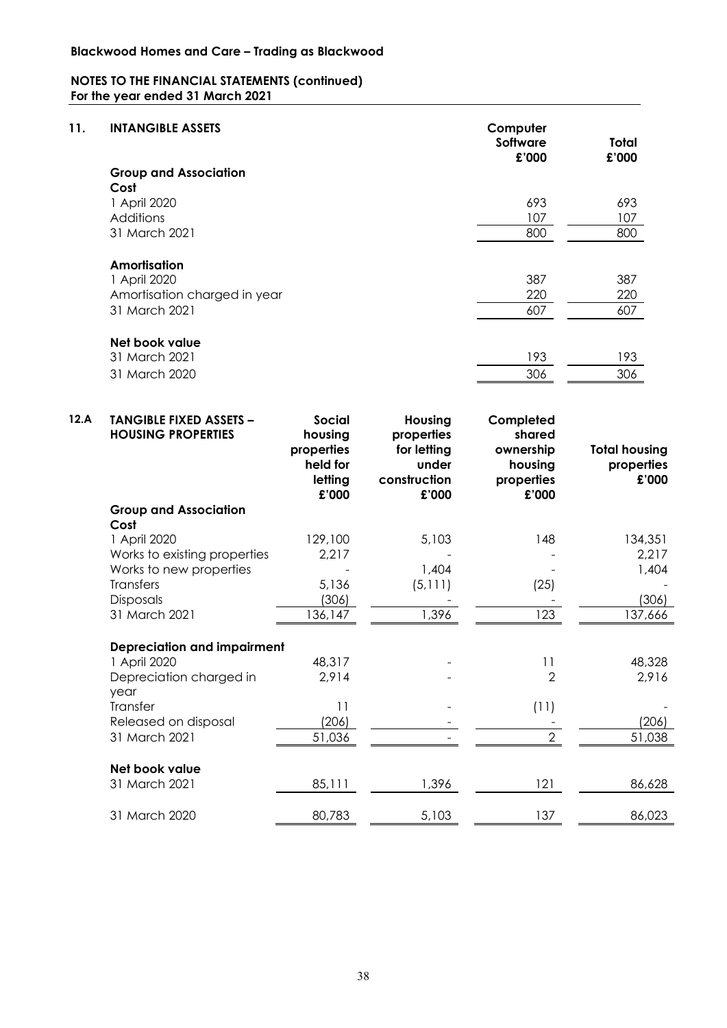| 11.  | <b>INTANGIBLE ASSETS</b>                                    |                                                                        |                                                                        | Computer<br><b>Software</b><br>£'000                               | <b>Total</b><br>£'000                       |
|------|-------------------------------------------------------------|------------------------------------------------------------------------|------------------------------------------------------------------------|--------------------------------------------------------------------|---------------------------------------------|
|      | <b>Group and Association</b>                                |                                                                        |                                                                        |                                                                    |                                             |
|      | Cost                                                        |                                                                        |                                                                        |                                                                    |                                             |
|      | 1 April 2020                                                |                                                                        |                                                                        | 693                                                                | 693                                         |
|      | Additions<br>31 March 2021                                  |                                                                        |                                                                        | 107                                                                | 107                                         |
|      |                                                             |                                                                        |                                                                        | 800                                                                | 800                                         |
|      | Amortisation                                                |                                                                        |                                                                        |                                                                    |                                             |
|      | 1 April 2020                                                |                                                                        |                                                                        | 387                                                                | 387                                         |
|      | Amortisation charged in year                                |                                                                        |                                                                        | 220                                                                | 220                                         |
|      | 31 March 2021                                               |                                                                        |                                                                        | 607                                                                | 607                                         |
|      | Net book value                                              |                                                                        |                                                                        |                                                                    |                                             |
|      | 31 March 2021                                               |                                                                        |                                                                        | 193                                                                | 193                                         |
|      | 31 March 2020                                               |                                                                        |                                                                        | 306                                                                | 306                                         |
|      |                                                             |                                                                        |                                                                        |                                                                    |                                             |
| 12.A | <b>TANGIBLE FIXED ASSETS -</b><br><b>HOUSING PROPERTIES</b> | <b>Social</b><br>housing<br>properties<br>held for<br>letting<br>£'000 | Housing<br>properties<br>for letting<br>under<br>construction<br>£'000 | Completed<br>shared<br>ownership<br>housing<br>properties<br>£'000 | <b>Total housing</b><br>properties<br>£'000 |
|      | <b>Group and Association</b>                                |                                                                        |                                                                        |                                                                    |                                             |
|      | Cost                                                        |                                                                        |                                                                        |                                                                    |                                             |
|      | 1 April 2020                                                | 129,100                                                                | 5,103                                                                  | 148                                                                | 134,351                                     |
|      | Works to existing properties                                | 2,217                                                                  |                                                                        |                                                                    | 2,217                                       |
|      | Works to new properties<br><b>Transfers</b>                 | 5,136                                                                  | 1,404<br>(5, 111)                                                      | (25)                                                               | 1,404                                       |
|      | Disposals                                                   | (306)                                                                  |                                                                        |                                                                    | (306)                                       |
|      | 31 March 2021                                               | 136,147                                                                | 1,396                                                                  | 123                                                                | 137,666                                     |
|      |                                                             |                                                                        |                                                                        |                                                                    |                                             |
|      | <b>Depreciation and impairment</b><br>1 April 2020          | 48,317                                                                 |                                                                        | 11                                                                 | 48,328                                      |
|      | Depreciation charged in                                     | 2,914                                                                  |                                                                        | $\overline{2}$                                                     | 2,916                                       |
|      | year                                                        |                                                                        |                                                                        |                                                                    |                                             |
|      | Transfer                                                    | 11                                                                     |                                                                        | (11)                                                               |                                             |
|      | Released on disposal                                        | (206)                                                                  |                                                                        |                                                                    | (206)                                       |
|      | 31 March 2021                                               | 51,036                                                                 |                                                                        | $\overline{2}$                                                     | 51,038                                      |
|      | Net book value                                              |                                                                        |                                                                        |                                                                    |                                             |
|      | 31 March 2021                                               | 85,111                                                                 | 1,396                                                                  | 121                                                                | 86,628                                      |
|      | 31 March 2020                                               | 80,783                                                                 | 5,103                                                                  | 137                                                                | 86,023                                      |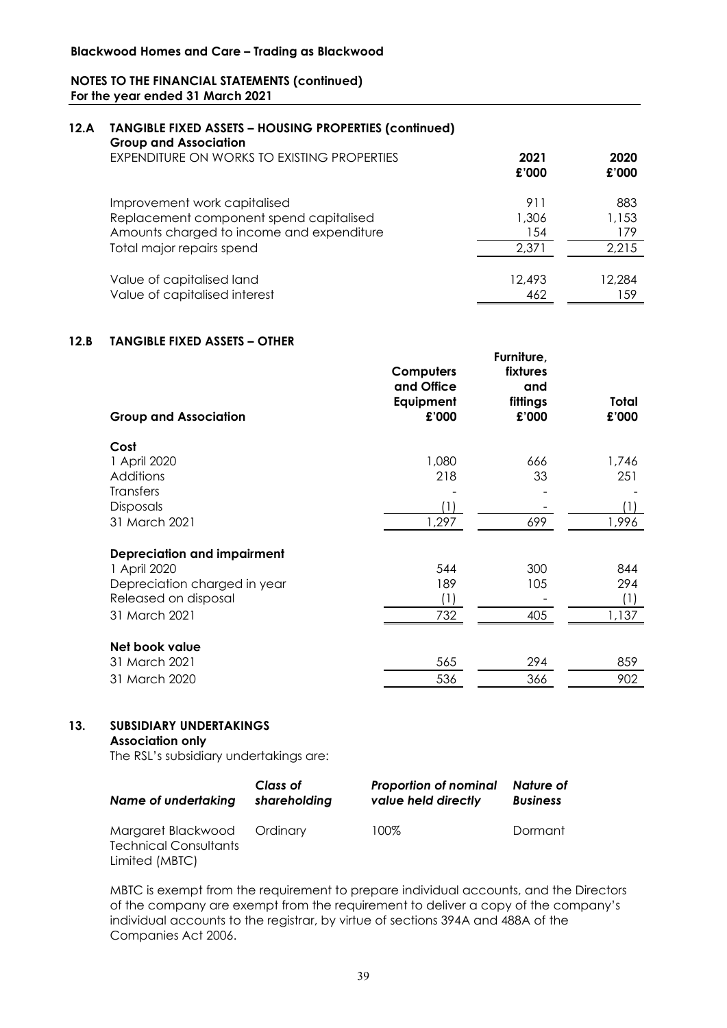#### **12.A TANGIBLE FIXED ASSETS – HOUSING PROPERTIES (continued) Group and Association**

| <b>ULLUP QUA ASSOCIUTION</b><br>EXPENDITURE ON WORKS TO EXISTING PROPERTIES | 2021<br>£'000 | 2020<br>£'000 |
|-----------------------------------------------------------------------------|---------------|---------------|
| Improvement work capitalised                                                | 911           | 883           |
| Replacement component spend capitalised                                     | 1,306         | 1,153         |
| Amounts charged to income and expenditure                                   | 154           | 179           |
| Total major repairs spend                                                   | 2.371         | 2,215         |
| Value of capitalised land                                                   | 12,493        | 12,284        |
| Value of capitalised interest                                               | 462           | 159           |

**Furniture,** 

# **12.B TANGIBLE FIXED ASSETS – OTHER**

| <b>Group and Association</b>       | Computers<br>and Office<br>Equipment<br>£'000 | fixtures<br>and<br>fittings<br>£'000 | Total<br>£'000 |
|------------------------------------|-----------------------------------------------|--------------------------------------|----------------|
| Cost                               |                                               |                                      |                |
| 1 April 2020                       | 1,080                                         | 666                                  | 1,746          |
| Additions                          | 218                                           | 33                                   | 251            |
| <b>Transfers</b>                   |                                               |                                      |                |
| <b>Disposals</b>                   | (1)                                           |                                      | (1)            |
| 31 March 2021                      | 1,297                                         | 699                                  | 1,996          |
| <b>Depreciation and impairment</b> |                                               |                                      |                |
| 1 April 2020                       | 544                                           | 300                                  | 844            |
| Depreciation charged in year       | 189                                           | 105                                  | 294            |
| Released on disposal               | (1)                                           |                                      | (1)            |
| 31 March 2021                      | 732                                           | 405                                  | 1,137          |
| Net book value                     |                                               |                                      |                |
| 31 March 2021                      | 565                                           | 294                                  | 859            |
| 31 March 2020                      | 536                                           | 366                                  | 902            |

# **13. SUBSIDIARY UNDERTAKINGS**

**Association only**

The RSL's subsidiary undertakings are:

| Name of undertaking                                         | Class of<br>shareholding | <b>Proportion of nominal</b><br>value held directly | Nature of<br><b>Business</b> |
|-------------------------------------------------------------|--------------------------|-----------------------------------------------------|------------------------------|
| Margaret Blackwood Ordinary<br><b>Technical Consultants</b> |                          | 100%                                                | Dormant                      |
| Limited (MBTC)                                              |                          |                                                     |                              |

MBTC is exempt from the requirement to prepare individual accounts, and the Directors of the company are exempt from the requirement to deliver a copy of the company's individual accounts to the registrar, by virtue of sections 394A and 488A of the Companies Act 2006.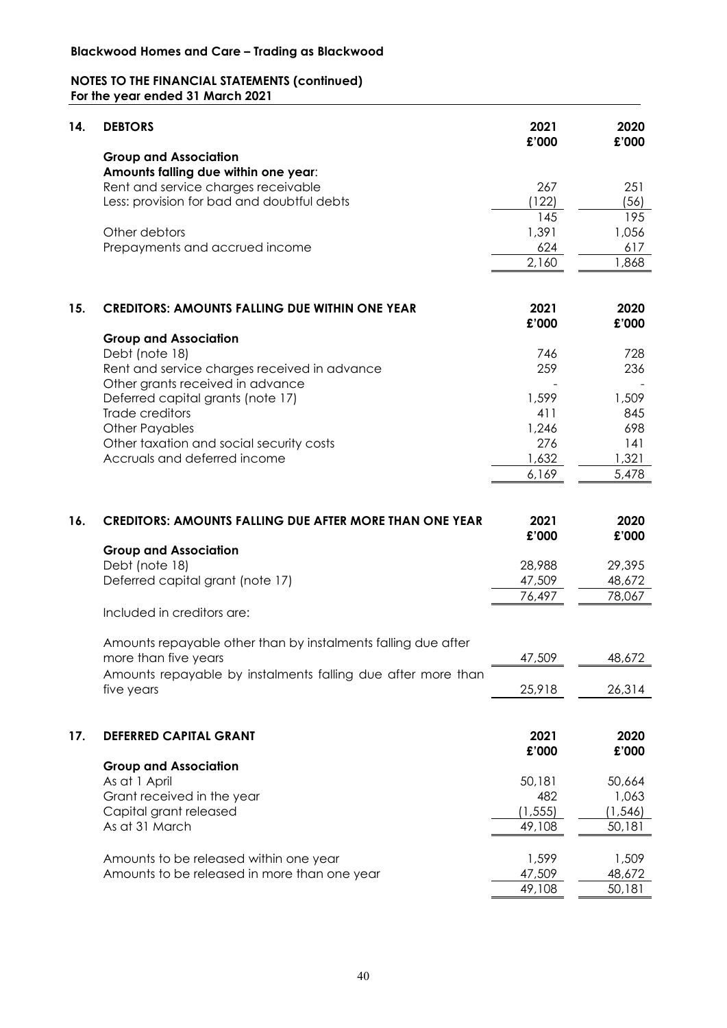| 14. | <b>DEBTORS</b>                                                 | 2021<br>£'000  | 2020<br>£'000   |
|-----|----------------------------------------------------------------|----------------|-----------------|
|     | <b>Group and Association</b>                                   |                |                 |
|     | Amounts falling due within one year:                           |                |                 |
|     | Rent and service charges receivable                            | 267            | 251             |
|     | Less: provision for bad and doubtful debts                     | (122)          | (56)            |
|     |                                                                | 145            | 195             |
|     | Other debtors                                                  | 1,391          | 1,056           |
|     | Prepayments and accrued income                                 | 624            | 617             |
|     |                                                                | 2,160          | 1,868           |
| 15. | <b>CREDITORS: AMOUNTS FALLING DUE WITHIN ONE YEAR</b>          | 2021           | 2020            |
|     |                                                                | £'000          | £'000           |
|     | <b>Group and Association</b>                                   |                |                 |
|     | Debt (note 18)                                                 | 746            | 728             |
|     | Rent and service charges received in advance                   | 259            | 236             |
|     | Other grants received in advance                               |                |                 |
|     | Deferred capital grants (note 17)                              | 1,599          | 1,509           |
|     | Trade creditors                                                | 411            | 845             |
|     | <b>Other Payables</b>                                          | 1,246          | 698             |
|     | Other taxation and social security costs                       | 276            | 141             |
|     | Accruals and deferred income                                   | 1,632<br>6,169 | 1,321<br>5,478  |
|     |                                                                |                |                 |
|     |                                                                |                |                 |
| 16. | <b>CREDITORS: AMOUNTS FALLING DUE AFTER MORE THAN ONE YEAR</b> | 2021<br>£'000  | 2020<br>£'000   |
|     | <b>Group and Association</b>                                   |                |                 |
|     | Debt (note 18)                                                 | 28,988         | 29,395          |
|     | Deferred capital grant (note 17)                               | 47,509         | 48,672          |
|     |                                                                | 76,497         | 78,067          |
|     | Included in creditors are:                                     |                |                 |
|     | Amounts repayable other than by instalments falling due after  |                |                 |
|     | more than five years                                           | 47,509         | 48,672          |
|     | Amounts repayable by instalments falling due after more than   |                |                 |
|     | five years                                                     | 25,918         | 26,314          |
|     |                                                                |                |                 |
| 17. | <b>DEFERRED CAPITAL GRANT</b>                                  | 2021           | 2020            |
|     |                                                                | £'000          | £'000           |
|     | <b>Group and Association</b>                                   |                |                 |
|     | As at 1 April<br>Grant received in the year                    | 50,181<br>482  | 50,664<br>1,063 |
|     | Capital grant released                                         | (1, 555)       | (1, 546)        |
|     | As at 31 March                                                 | 49,108         | 50,181          |
|     |                                                                |                |                 |
|     | Amounts to be released within one year                         | 1,599          | 1,509           |
|     |                                                                |                |                 |
|     | Amounts to be released in more than one year                   | 47,509         | 48,672          |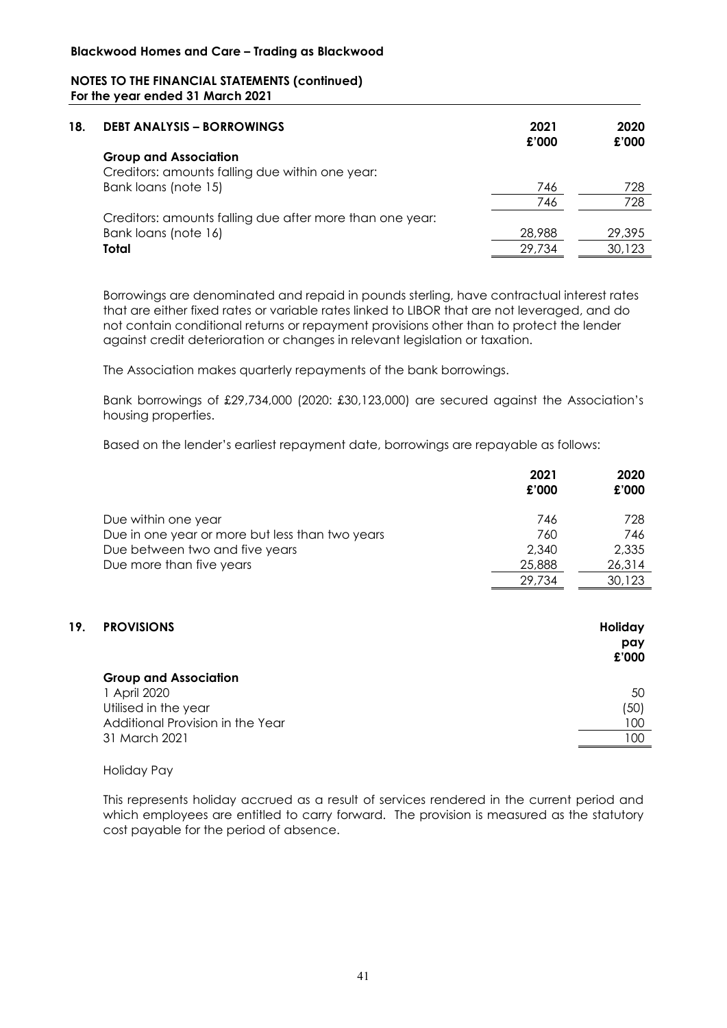| 18. | <b>DEBT ANALYSIS - BORROWINGS</b>                                               | 2021<br>£'000 | 2020<br>£'000 |
|-----|---------------------------------------------------------------------------------|---------------|---------------|
|     | <b>Group and Association</b><br>Creditors: amounts falling due within one year: |               |               |
|     | Bank loans (note 15)                                                            | 746           | 728           |
|     |                                                                                 | 746           | 728           |
|     | Creditors: amounts falling due after more than one year:                        |               |               |
|     | Bank loans (note 16)                                                            | 28,988        | 29,395        |
|     | Total                                                                           | 29.734        | 30,123        |

Borrowings are denominated and repaid in pounds sterling, have contractual interest rates that are either fixed rates or variable rates linked to LIBOR that are not leveraged, and do not contain conditional returns or repayment provisions other than to protect the lender against credit deterioration or changes in relevant legislation or taxation.

The Association makes quarterly repayments of the bank borrowings.

Bank borrowings of £29,734,000 (2020: £30,123,000) are secured against the Association's housing properties.

Based on the lender's earliest repayment date, borrowings are repayable as follows:

| 2021<br>£'000 | 2020<br>£'000 |
|---------------|---------------|
| 746           | 728           |
| 760           | 746           |
| 2,340         | 2,335         |
| 25,888        | 26,314        |
| 29.734        | 30,123        |
|               |               |

# **19. PROVISIONS Holiday**

|                                  | £'000 |
|----------------------------------|-------|
| <b>Group and Association</b>     |       |
| 1 April 2020                     | 50    |
| Utilised in the year             | (50)  |
| Additional Provision in the Year | 100   |
| 31 March 2021                    | 100   |

**pay**

#### Holiday Pay

This represents holiday accrued as a result of services rendered in the current period and which employees are entitled to carry forward. The provision is measured as the statutory cost payable for the period of absence.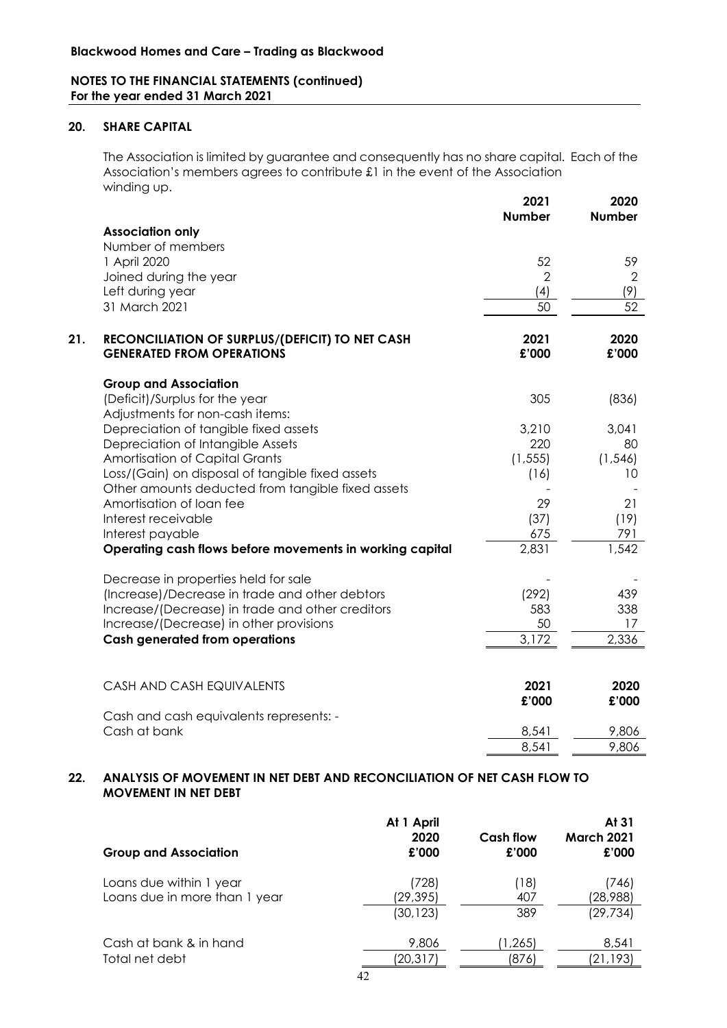# **20. SHARE CAPITAL**

The Association is limited by guarantee and consequently has no share capital. Each of the Association's members agrees to contribute £1 in the event of the Association winding up.

|     |                                                                               | 2021<br><b>Number</b> | 2020<br><b>Number</b> |
|-----|-------------------------------------------------------------------------------|-----------------------|-----------------------|
|     | <b>Association only</b>                                                       |                       |                       |
|     | Number of members                                                             |                       |                       |
|     | 1 April 2020                                                                  | 52                    | 59                    |
|     | Joined during the year                                                        | $\overline{2}$        | $\overline{2}$        |
|     | Left during year                                                              | (4)                   | (9)                   |
|     | 31 March 2021                                                                 | 50                    | 52                    |
| 21. | RECONCILIATION OF SURPLUS/(DEFICIT) TO NET CASH                               | 2021                  | 2020                  |
|     | <b>GENERATED FROM OPERATIONS</b>                                              | £'000                 | £'000                 |
|     | <b>Group and Association</b>                                                  |                       |                       |
|     | (Deficit)/Surplus for the year                                                | 305                   | (836)                 |
|     | Adjustments for non-cash items:                                               |                       |                       |
|     | Depreciation of tangible fixed assets                                         | 3,210                 | 3,041                 |
|     | Depreciation of Intangible Assets                                             | 220                   | 80                    |
|     | Amortisation of Capital Grants                                                | (1, 555)              | (1, 546)              |
|     | Loss/(Gain) on disposal of tangible fixed assets                              | (16)                  | 10                    |
|     | Other amounts deducted from tangible fixed assets<br>Amortisation of loan fee |                       |                       |
|     | Interest receivable                                                           | 29                    | 21                    |
|     | Interest payable                                                              | (37)<br>675           | (19)<br>791           |
|     | Operating cash flows before movements in working capital                      | 2,831                 | 1,542                 |
|     |                                                                               |                       |                       |
|     | Decrease in properties held for sale                                          |                       |                       |
|     | (Increase)/Decrease in trade and other debtors                                | (292)                 | 439                   |
|     | Increase/(Decrease) in trade and other creditors                              | 583                   | 338                   |
|     | Increase/(Decrease) in other provisions                                       | 50                    | 17                    |
|     | <b>Cash generated from operations</b>                                         | 3,172                 | 2,336                 |
|     |                                                                               |                       |                       |
|     | CASH AND CASH EQUIVALENTS                                                     | 2021                  | 2020                  |
|     |                                                                               | £'000                 | £'000                 |
|     | Cash and cash equivalents represents: -                                       |                       |                       |
|     | Cash at bank                                                                  | 8,541                 | 9,806                 |
|     |                                                                               | 8,541                 | 9,806                 |
|     |                                                                               |                       |                       |

# **22. ANALYSIS OF MOVEMENT IN NET DEBT AND RECONCILIATION OF NET CASH FLOW TO MOVEMENT IN NET DEBT**

| <b>Group and Association</b>                             | At 1 April<br>2020<br>£'000     | Cash flow<br>£'000 | At 31<br><b>March 2021</b><br>£'000 |
|----------------------------------------------------------|---------------------------------|--------------------|-------------------------------------|
| Loans due within 1 year<br>Loans due in more than 1 year | (728)<br>(29, 395)<br>(30, 123) | 18 <br>407<br>389  | (746)<br>(28,988)<br>(29, 734)      |
| Cash at bank & in hand<br>Total net debt                 | 9,806<br>(20, 317)              | 1,265)<br>(876)    | 8,541<br>(21,193)                   |